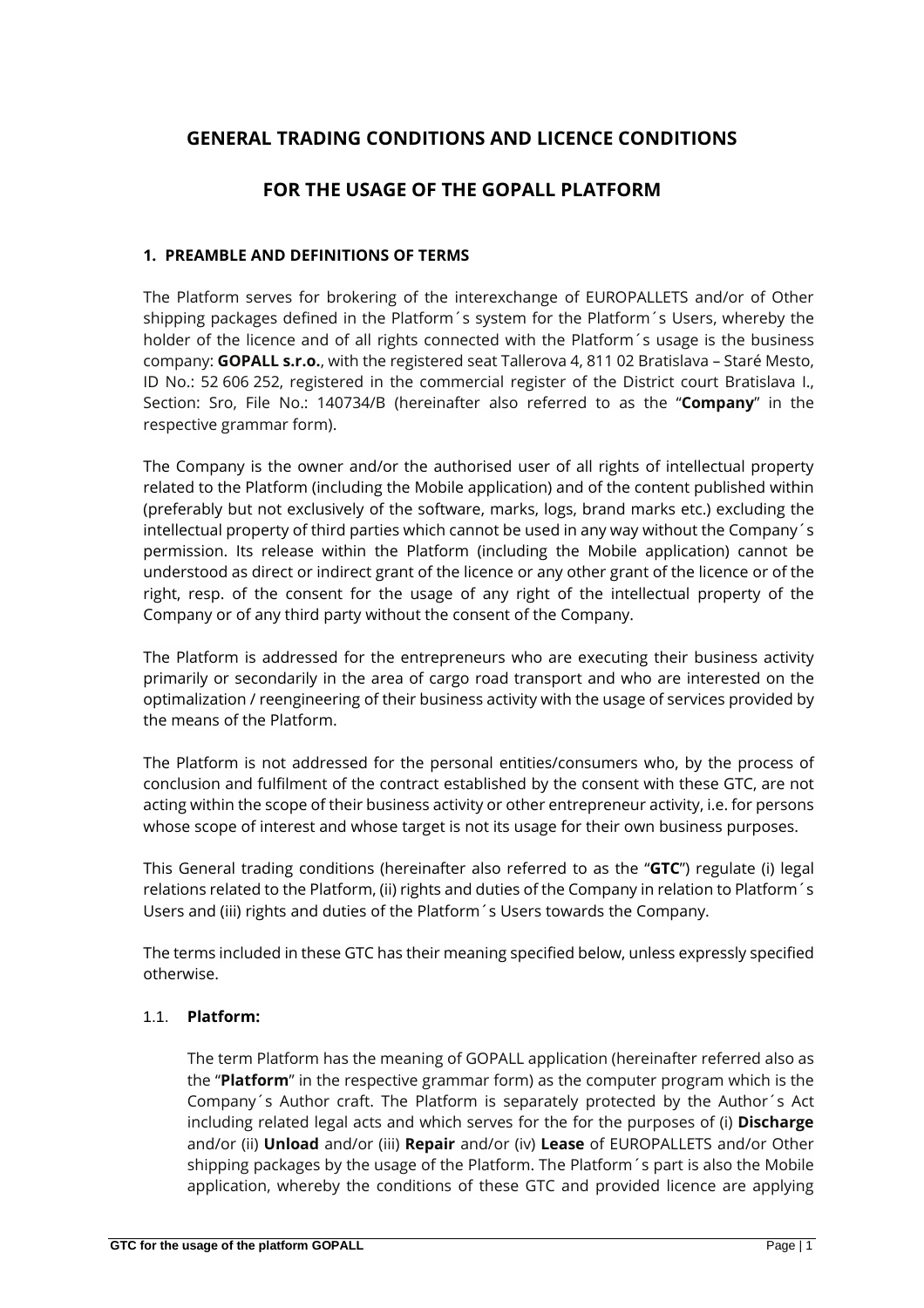# **GENERAL TRADING CONDITIONS AND LICENCE CONDITIONS**

# **FOR THE USAGE OF THE GOPALL PLATFORM**

# **1. PREAMBLE AND DEFINITIONS OF TERMS**

The Platform serves for brokering of the interexchange of EUROPALLETS and/or of Other shipping packages defined in the Platform´s system for the Platform´s Users, whereby the holder of the licence and of all rights connected with the Platform's usage is the business company: **GOPALL s.r.o.**, with the registered seat Tallerova 4, 811 02 Bratislava – Staré Mesto, ID No.: 52 606 252, registered in the commercial register of the District court Bratislava I., Section: Sro, File No.: 140734/B (hereinafter also referred to as the "**Company**" in the respective grammar form).

The Company is the owner and/or the authorised user of all rights of intellectual property related to the Platform (including the Mobile application) and of the content published within (preferably but not exclusively of the software, marks, logs, brand marks etc.) excluding the intellectual property of third parties which cannot be used in any way without the Company´s permission. Its release within the Platform (including the Mobile application) cannot be understood as direct or indirect grant of the licence or any other grant of the licence or of the right, resp. of the consent for the usage of any right of the intellectual property of the Company or of any third party without the consent of the Company.

The Platform is addressed for the entrepreneurs who are executing their business activity primarily or secondarily in the area of cargo road transport and who are interested on the optimalization / reengineering of their business activity with the usage of services provided by the means of the Platform.

The Platform is not addressed for the personal entities/consumers who, by the process of conclusion and fulfilment of the contract established by the consent with these GTC, are not acting within the scope of their business activity or other entrepreneur activity, i.e. for persons whose scope of interest and whose target is not its usage for their own business purposes.

This General trading conditions (hereinafter also referred to as the "**GTC**") regulate (i) legal relations related to the Platform, (ii) rights and duties of the Company in relation to Platform´s Users and (iii) rights and duties of the Platform´s Users towards the Company.

The terms included in these GTC has their meaning specified below, unless expressly specified otherwise.

# 1.1. **Platform:**

The term Platform has the meaning of GOPALL application (hereinafter referred also as the "**Platform**" in the respective grammar form) as the computer program which is the Company´s Author craft. The Platform is separately protected by the Author´s Act including related legal acts and which serves for the for the purposes of (i) **Discharge** and/or (ii) **Unload** and/or (iii) **Repair** and/or (iv) **Lease** of EUROPALLETS and/or Other shipping packages by the usage of the Platform. The Platform´s part is also the Mobile application, whereby the conditions of these GTC and provided licence are applying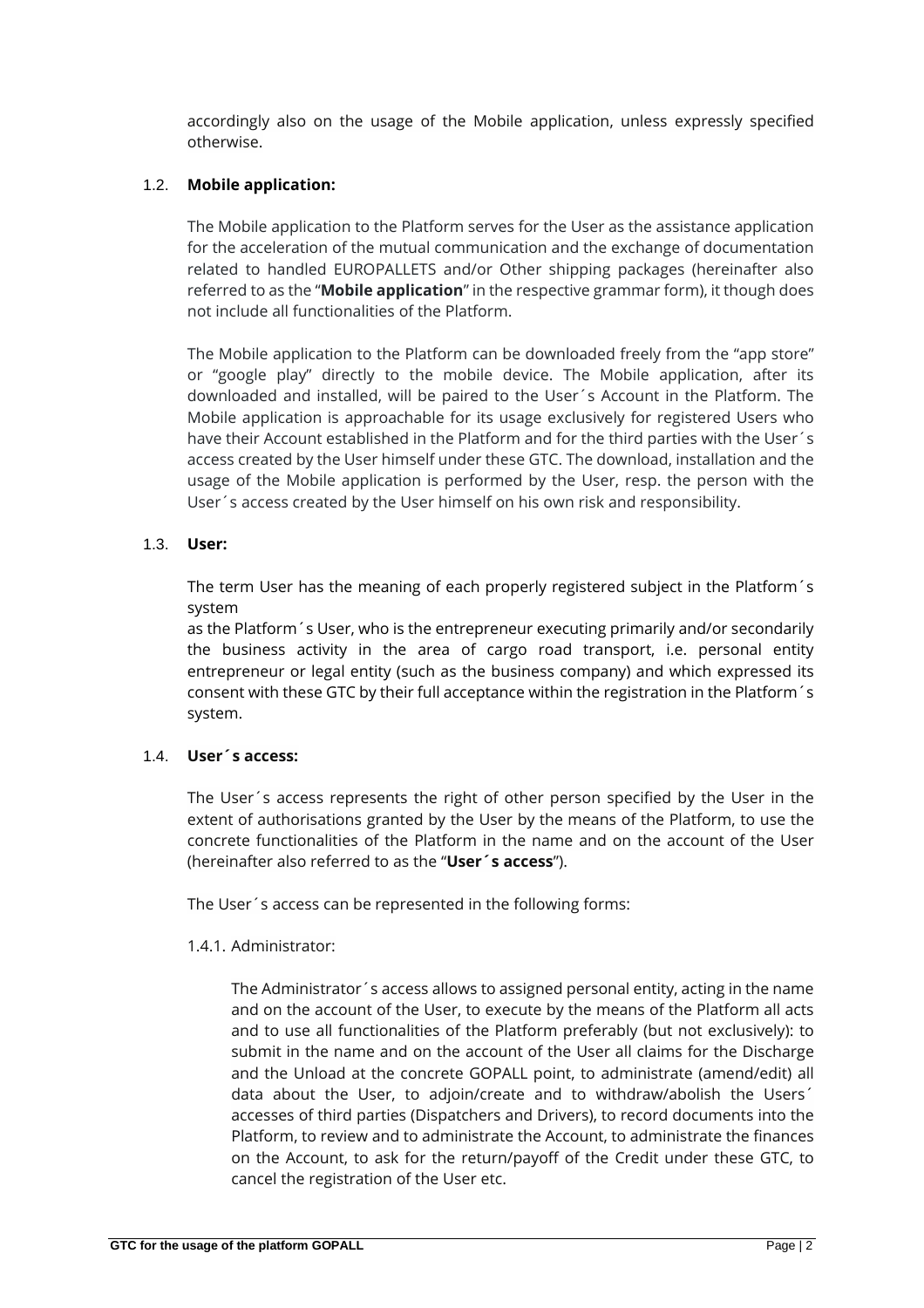accordingly also on the usage of the Mobile application, unless expressly specified otherwise.

# 1.2. **Mobile application:**

The Mobile application to the Platform serves for the User as the assistance application for the acceleration of the mutual communication and the exchange of documentation related to handled EUROPALLETS and/or Other shipping packages (hereinafter also referred to as the "**Mobile application**" in the respective grammar form), it though does not include all functionalities of the Platform.

The Mobile application to the Platform can be downloaded freely from the "app store" or "google play" directly to the mobile device. The Mobile application, after its downloaded and installed, will be paired to the User´s Account in the Platform. The Mobile application is approachable for its usage exclusively for registered Users who have their Account established in the Platform and for the third parties with the User´s access created by the User himself under these GTC. The download, installation and the usage of the Mobile application is performed by the User, resp. the person with the User´s access created by the User himself on his own risk and responsibility.

### 1.3. **User:**

The term User has the meaning of each properly registered subject in the Platform´s system

as the Platform´s User, who is the entrepreneur executing primarily and/or secondarily the business activity in the area of cargo road transport, i.e. personal entity entrepreneur or legal entity (such as the business company) and which expressed its consent with these GTC by their full acceptance within the registration in the Platform´s system.

# 1.4. **User´s access:**

The User´s access represents the right of other person specified by the User in the extent of authorisations granted by the User by the means of the Platform, to use the concrete functionalities of the Platform in the name and on the account of the User (hereinafter also referred to as the "**User´s access**").

The User´s access can be represented in the following forms:

#### 1.4.1. Administrator:

The Administrator´s access allows to assigned personal entity, acting in the name and on the account of the User, to execute by the means of the Platform all acts and to use all functionalities of the Platform preferably (but not exclusively): to submit in the name and on the account of the User all claims for the Discharge and the Unload at the concrete GOPALL point, to administrate (amend/edit) all data about the User, to adjoin/create and to withdraw/abolish the Users´ accesses of third parties (Dispatchers and Drivers), to record documents into the Platform, to review and to administrate the Account, to administrate the finances on the Account, to ask for the return/payoff of the Credit under these GTC, to cancel the registration of the User etc.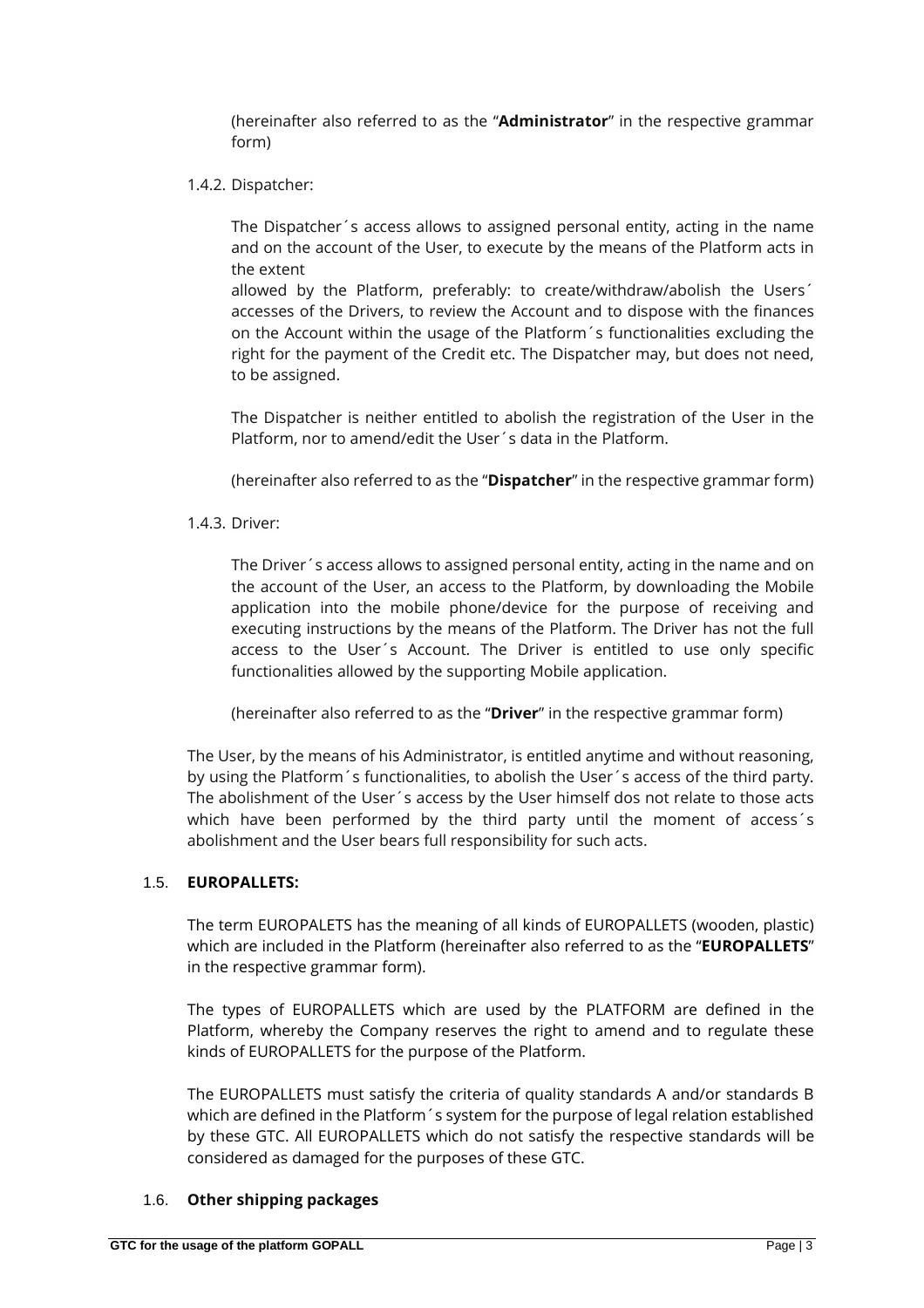(hereinafter also referred to as the "**Administrator**" in the respective grammar form)

1.4.2. Dispatcher:

The Dispatcher´s access allows to assigned personal entity, acting in the name and on the account of the User, to execute by the means of the Platform acts in the extent

allowed by the Platform, preferably: to create/withdraw/abolish the Users´ accesses of the Drivers, to review the Account and to dispose with the finances on the Account within the usage of the Platform´s functionalities excluding the right for the payment of the Credit etc. The Dispatcher may, but does not need, to be assigned.

The Dispatcher is neither entitled to abolish the registration of the User in the Platform, nor to amend/edit the User´s data in the Platform.

(hereinafter also referred to as the "**Dispatcher**" in the respective grammar form)

1.4.3. Driver:

The Driver´s access allows to assigned personal entity, acting in the name and on the account of the User, an access to the Platform, by downloading the Mobile application into the mobile phone/device for the purpose of receiving and executing instructions by the means of the Platform. The Driver has not the full access to the User´s Account. The Driver is entitled to use only specific functionalities allowed by the supporting Mobile application.

(hereinafter also referred to as the "**Driver**" in the respective grammar form)

The User, by the means of his Administrator, is entitled anytime and without reasoning, by using the Platform´s functionalities, to abolish the User´s access of the third party. The abolishment of the User´s access by the User himself dos not relate to those acts which have been performed by the third party until the moment of access's abolishment and the User bears full responsibility for such acts.

# 1.5. **EUROPALLETS:**

The term EUROPALETS has the meaning of all kinds of EUROPALLETS (wooden, plastic) which are included in the Platform (hereinafter also referred to as the "**EUROPALLETS**" in the respective grammar form).

The types of EUROPALLETS which are used by the PLATFORM are defined in the Platform, whereby the Company reserves the right to amend and to regulate these kinds of EUROPALLETS for the purpose of the Platform.

The EUROPALLETS must satisfy the criteria of quality standards A and/or standards B which are defined in the Platform´s system for the purpose of legal relation established by these GTC. All EUROPALLETS which do not satisfy the respective standards will be considered as damaged for the purposes of these GTC.

# 1.6. **Other shipping packages**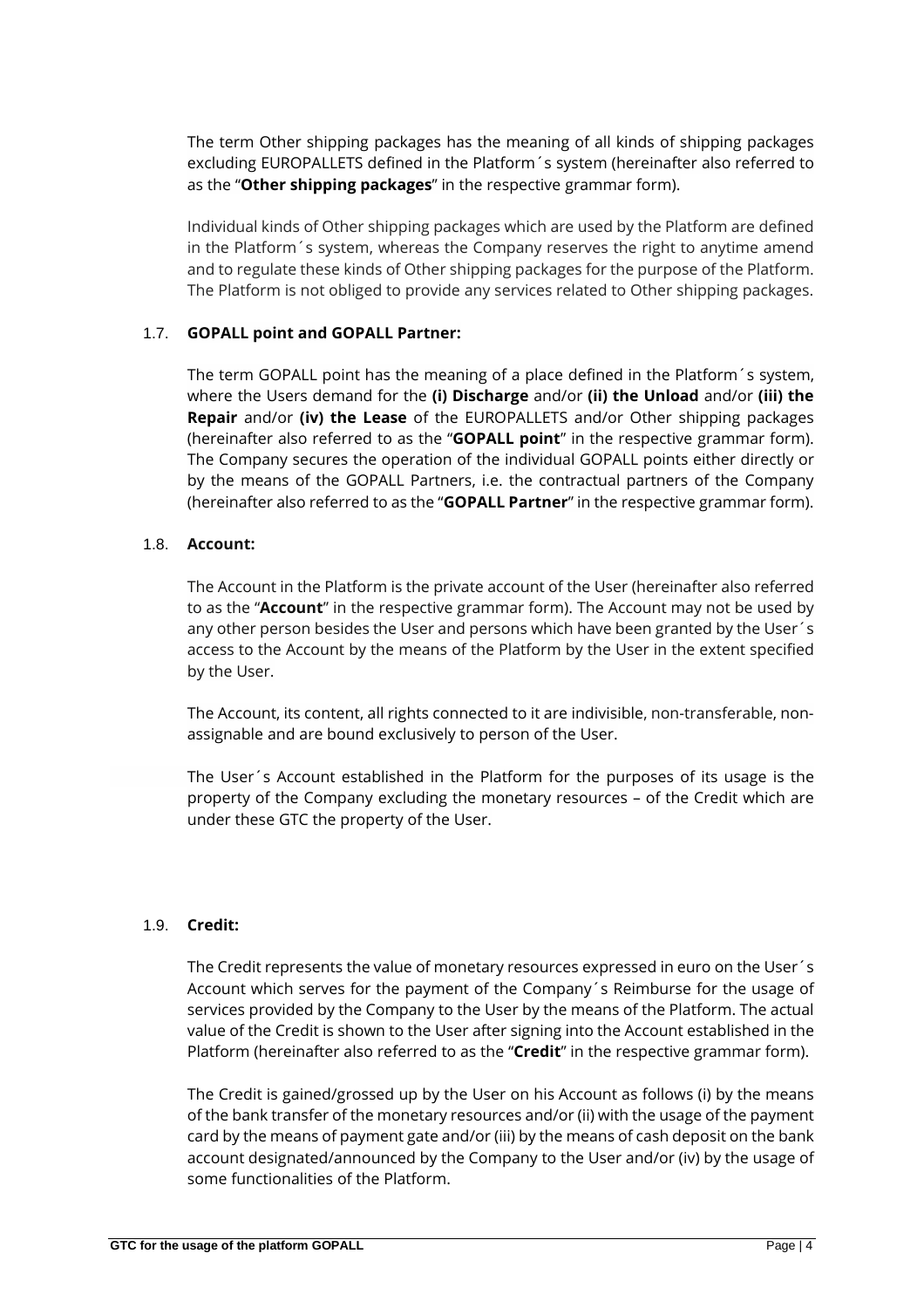The term Other shipping packages has the meaning of all kinds of shipping packages excluding EUROPALLETS defined in the Platform´s system (hereinafter also referred to as the "**Other shipping packages**" in the respective grammar form).

Individual kinds of Other shipping packages which are used by the Platform are defined in the Platform´s system, whereas the Company reserves the right to anytime amend and to regulate these kinds of Other shipping packages for the purpose of the Platform. The Platform is not obliged to provide any services related to Other shipping packages.

### 1.7. **GOPALL point and GOPALL Partner:**

The term GOPALL point has the meaning of a place defined in the Platform´s system, where the Users demand for the **(i) Discharge** and/or **(ii) the Unload** and/or **(iii) the Repair** and/or **(iv) the Lease** of the EUROPALLETS and/or Other shipping packages (hereinafter also referred to as the "**GOPALL point**" in the respective grammar form). The Company secures the operation of the individual GOPALL points either directly or by the means of the GOPALL Partners, i.e. the contractual partners of the Company (hereinafter also referred to as the "**GOPALL Partner**" in the respective grammar form).

### 1.8. **Account:**

The Account in the Platform is the private account of the User (hereinafter also referred to as the "**Account**" in the respective grammar form). The Account may not be used by any other person besides the User and persons which have been granted by the User´s access to the Account by the means of the Platform by the User in the extent specified by the User.

The Account, its content, all rights connected to it are indivisible, non-transferable, nonassignable and are bound exclusively to person of the User.

The User´s Account established in the Platform for the purposes of its usage is the property of the Company excluding the monetary resources – of the Credit which are under these GTC the property of the User.

#### 1.9. **Credit:**

The Credit represents the value of monetary resources expressed in euro on the User´s Account which serves for the payment of the Company´s Reimburse for the usage of services provided by the Company to the User by the means of the Platform. The actual value of the Credit is shown to the User after signing into the Account established in the Platform (hereinafter also referred to as the "**Credit**" in the respective grammar form).

The Credit is gained/grossed up by the User on his Account as follows (i) by the means of the bank transfer of the monetary resources and/or (ii) with the usage of the payment card by the means of payment gate and/or (iii) by the means of cash deposit on the bank account designated/announced by the Company to the User and/or (iv) by the usage of some functionalities of the Platform.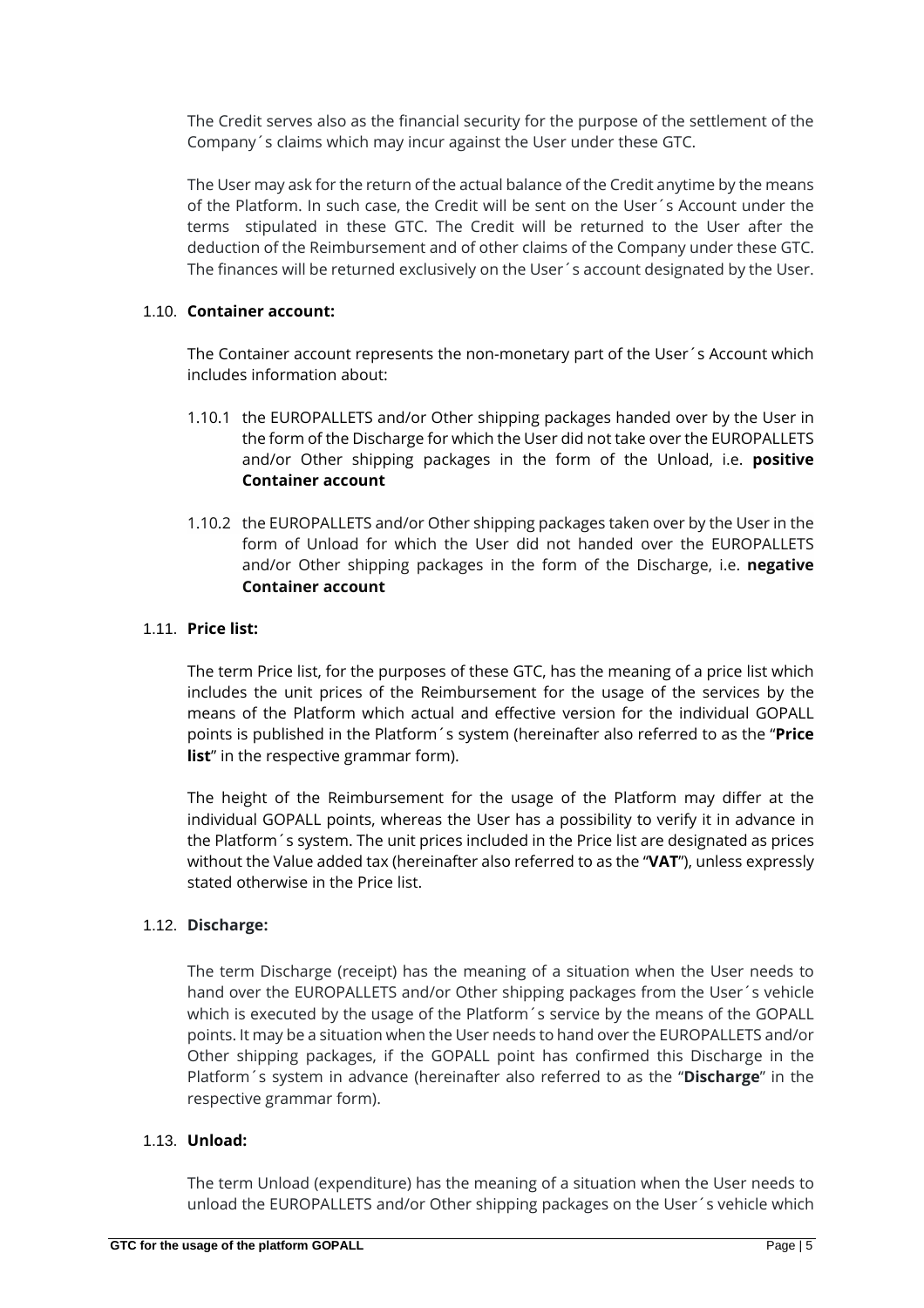The Credit serves also as the financial security for the purpose of the settlement of the Company´s claims which may incur against the User under these GTC.

The User may ask for the return of the actual balance of the Credit anytime by the means of the Platform. In such case, the Credit will be sent on the User´s Account under the terms stipulated in these GTC. The Credit will be returned to the User after the deduction of the Reimbursement and of other claims of the Company under these GTC. The finances will be returned exclusively on the User´s account designated by the User.

### 1.10. **Container account:**

The Container account represents the non-monetary part of the User´s Account which includes information about:

- 1.10.1 the EUROPALLETS and/or Other shipping packages handed over by the User in the form of the Discharge for which the User did not take over the EUROPALLETS and/or Other shipping packages in the form of the Unload, i.e. **positive Container account**
- 1.10.2 the EUROPALLETS and/or Other shipping packages taken over by the User in the form of Unload for which the User did not handed over the EUROPALLETS and/or Other shipping packages in the form of the Discharge, i.e. **negative Container account**

### 1.11. **Price list:**

The term Price list, for the purposes of these GTC, has the meaning of a price list which includes the unit prices of the Reimbursement for the usage of the services by the means of the Platform which actual and effective version for the individual GOPALL points is published in the Platform´s system (hereinafter also referred to as the "**Price list**" in the respective grammar form).

The height of the Reimbursement for the usage of the Platform may differ at the individual GOPALL points, whereas the User has a possibility to verify it in advance in the Platform´s system. The unit prices included in the Price list are designated as prices without the Value added tax (hereinafter also referred to as the "**VAT**"), unless expressly stated otherwise in the Price list.

# 1.12. **Discharge:**

The term Discharge (receipt) has the meaning of a situation when the User needs to hand over the EUROPALLETS and/or Other shipping packages from the User´s vehicle which is executed by the usage of the Platform´s service by the means of the GOPALL points. It may be a situation when the User needs to hand over the EUROPALLETS and/or Other shipping packages, if the GOPALL point has confirmed this Discharge in the Platform´s system in advance (hereinafter also referred to as the "**Discharge**" in the respective grammar form).

# 1.13. **Unload:**

The term Unload (expenditure) has the meaning of a situation when the User needs to unload the EUROPALLETS and/or Other shipping packages on the User´s vehicle which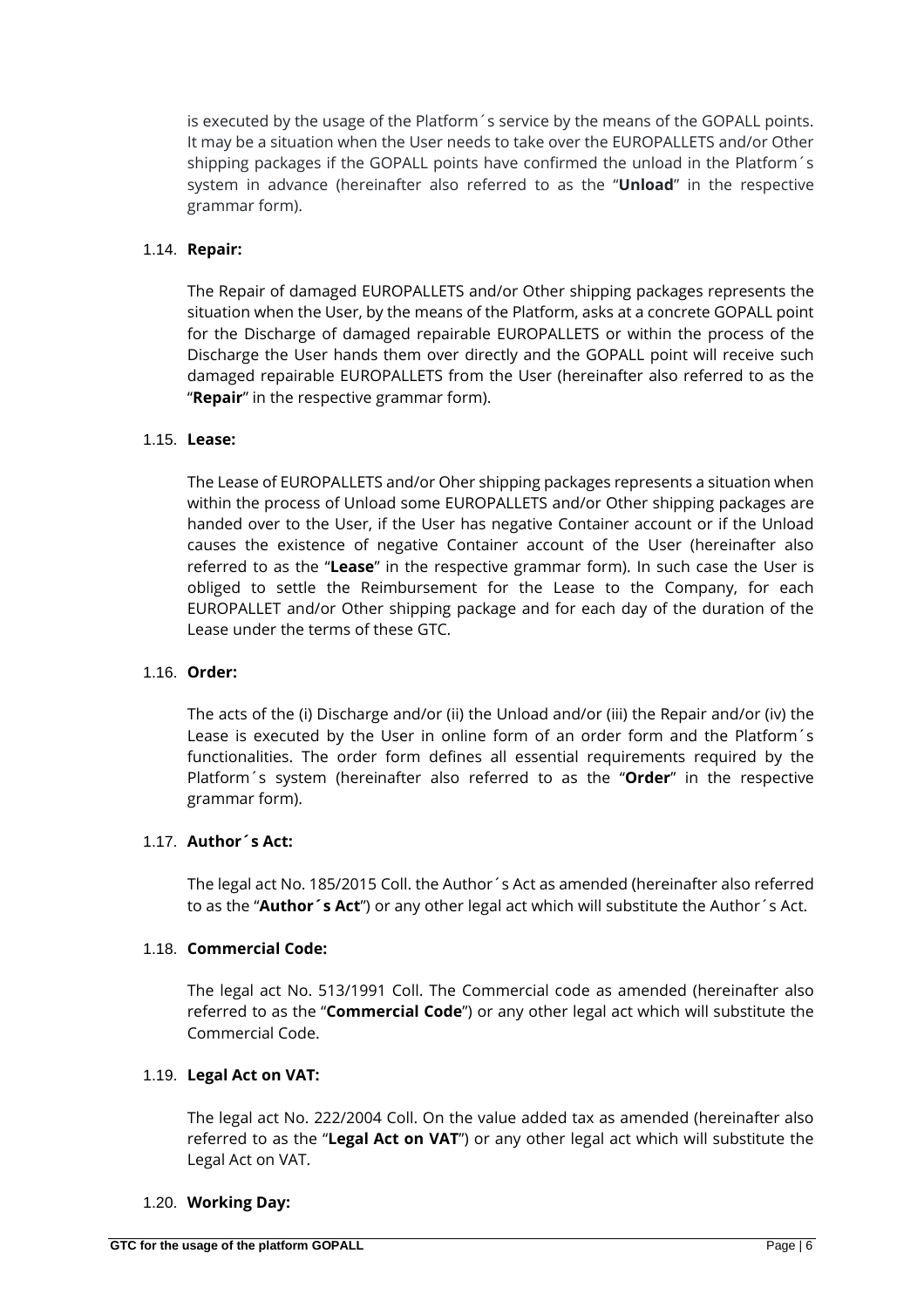is executed by the usage of the Platform´s service by the means of the GOPALL points. It may be a situation when the User needs to take over the EUROPALLETS and/or Other shipping packages if the GOPALL points have confirmed the unload in the Platform´s system in advance (hereinafter also referred to as the "**Unload**" in the respective grammar form).

### 1.14. **Repair:**

The Repair of damaged EUROPALLETS and/or Other shipping packages represents the situation when the User, by the means of the Platform, asks at a concrete GOPALL point for the Discharge of damaged repairable EUROPALLETS or within the process of the Discharge the User hands them over directly and the GOPALL point will receive such damaged repairable EUROPALLETS from the User (hereinafter also referred to as the "**Repair**" in the respective grammar form).

### 1.15. **Lease:**

The Lease of EUROPALLETS and/or Oher shipping packages represents a situation when within the process of Unload some EUROPALLETS and/or Other shipping packages are handed over to the User, if the User has negative Container account or if the Unload causes the existence of negative Container account of the User (hereinafter also referred to as the "**Lease**" in the respective grammar form). In such case the User is obliged to settle the Reimbursement for the Lease to the Company, for each EUROPALLET and/or Other shipping package and for each day of the duration of the Lease under the terms of these GTC.

### 1.16. **Order:**

The acts of the (i) Discharge and/or (ii) the Unload and/or (iii) the Repair and/or (iv) the Lease is executed by the User in online form of an order form and the Platform´s functionalities. The order form defines all essential requirements required by the Platform´s system (hereinafter also referred to as the "**Order**" in the respective grammar form).

# 1.17. **Author´s Act:**

The legal act No. 185/2015 Coll. the Author´s Act as amended (hereinafter also referred to as the "**Author´s Act**") or any other legal act which will substitute the Author´s Act.

#### 1.18. **Commercial Code:**

The legal act No. 513/1991 Coll. The Commercial code as amended (hereinafter also referred to as the "**Commercial Code**") or any other legal act which will substitute the Commercial Code.

#### 1.19. **Legal Act on VAT:**

The legal act No. 222/2004 Coll. On the value added tax as amended (hereinafter also referred to as the "**Legal Act on VAT**") or any other legal act which will substitute the Legal Act on VAT.

#### 1.20. **Working Day:**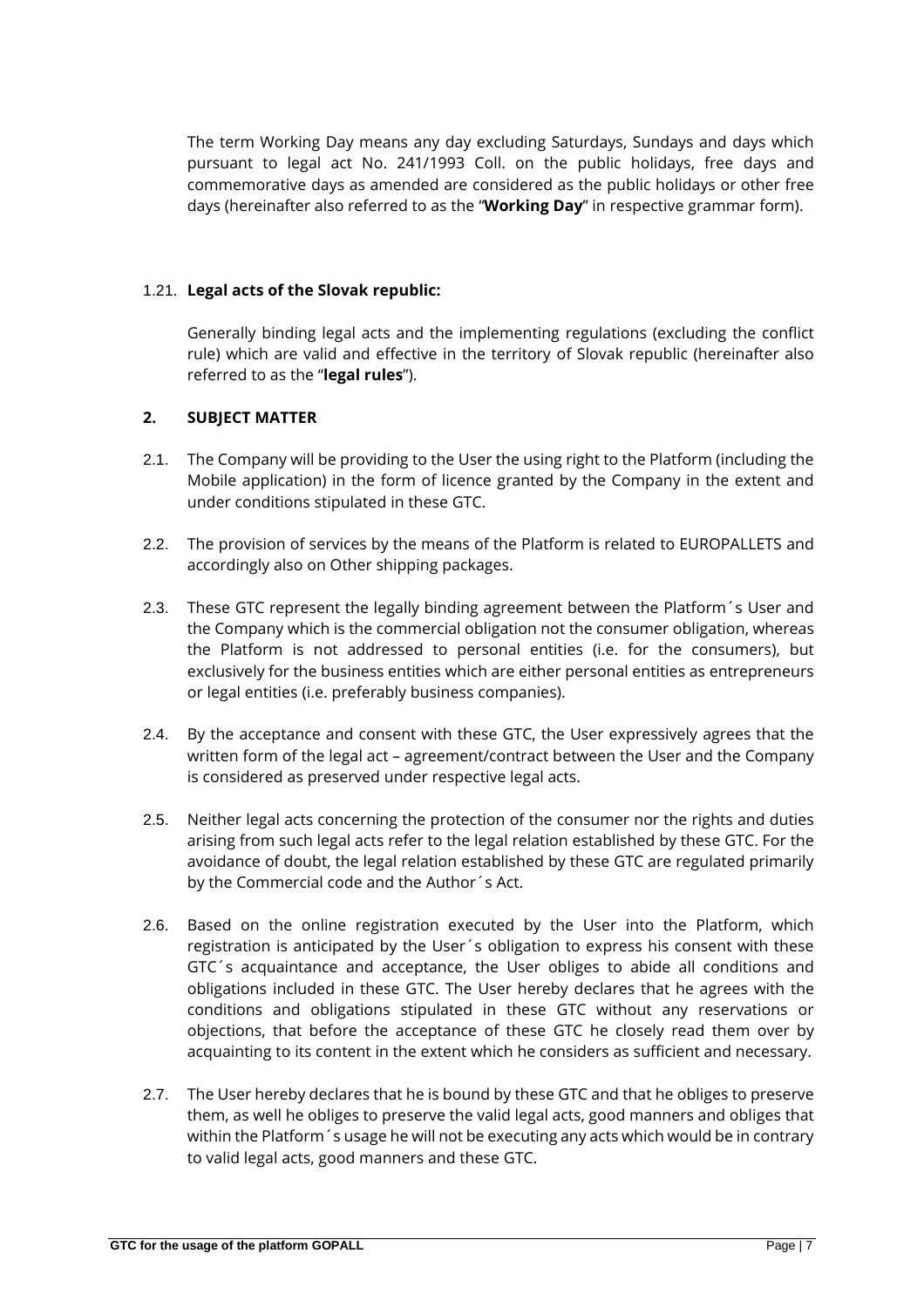The term Working Day means any day excluding Saturdays, Sundays and days which pursuant to legal act No. 241/1993 Coll. on the public holidays, free days and commemorative days as amended are considered as the public holidays or other free days (hereinafter also referred to as the "**Working Day**" in respective grammar form).

# 1.21. **Legal acts of the Slovak republic:**

Generally binding legal acts and the implementing regulations (excluding the conflict rule) which are valid and effective in the territory of Slovak republic (hereinafter also referred to as the "**legal rules**").

# **2. SUBJECT MATTER**

- 2.1. The Company will be providing to the User the using right to the Platform (including the Mobile application) in the form of licence granted by the Company in the extent and under conditions stipulated in these GTC.
- 2.2. The provision of services by the means of the Platform is related to EUROPALLETS and accordingly also on Other shipping packages.
- 2.3. These GTC represent the legally binding agreement between the Platform's User and the Company which is the commercial obligation not the consumer obligation, whereas the Platform is not addressed to personal entities (i.e. for the consumers), but exclusively for the business entities which are either personal entities as entrepreneurs or legal entities (i.e. preferably business companies).
- 2.4. By the acceptance and consent with these GTC, the User expressively agrees that the written form of the legal act – agreement/contract between the User and the Company is considered as preserved under respective legal acts.
- 2.5. Neither legal acts concerning the protection of the consumer nor the rights and duties arising from such legal acts refer to the legal relation established by these GTC. For the avoidance of doubt, the legal relation established by these GTC are regulated primarily by the Commercial code and the Author´s Act.
- 2.6. Based on the online registration executed by the User into the Platform, which registration is anticipated by the User´s obligation to express his consent with these GTC´s acquaintance and acceptance, the User obliges to abide all conditions and obligations included in these GTC. The User hereby declares that he agrees with the conditions and obligations stipulated in these GTC without any reservations or objections, that before the acceptance of these GTC he closely read them over by acquainting to its content in the extent which he considers as sufficient and necessary.
- 2.7. The User hereby declares that he is bound by these GTC and that he obliges to preserve them, as well he obliges to preserve the valid legal acts, good manners and obliges that within the Platform´s usage he will not be executing any acts which would be in contrary to valid legal acts, good manners and these GTC.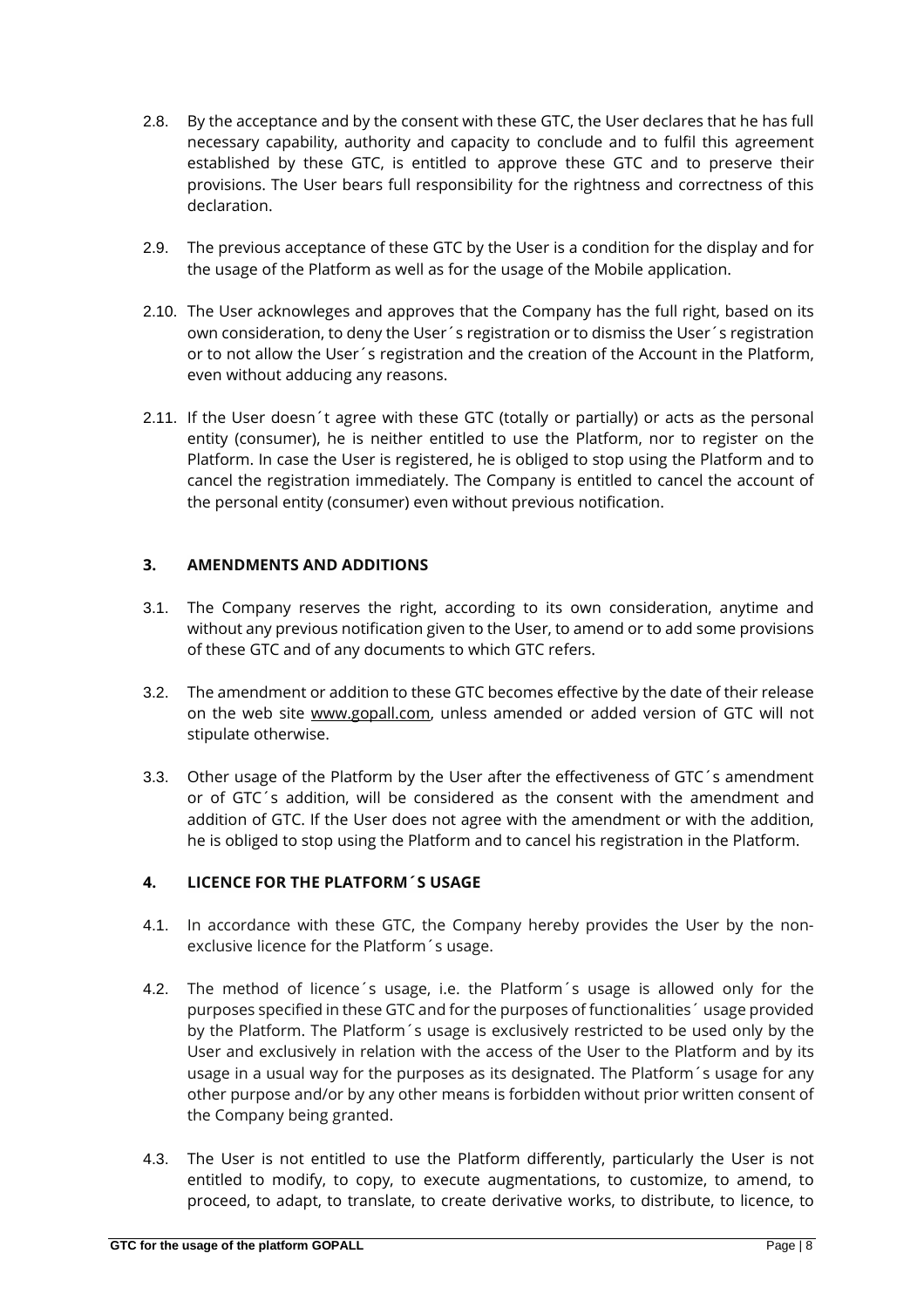- 2.8. By the acceptance and by the consent with these GTC, the User declares that he has full necessary capability, authority and capacity to conclude and to fulfil this agreement established by these GTC, is entitled to approve these GTC and to preserve their provisions. The User bears full responsibility for the rightness and correctness of this declaration.
- 2.9. The previous acceptance of these GTC by the User is a condition for the display and for the usage of the Platform as well as for the usage of the Mobile application.
- 2.10. The User acknowleges and approves that the Company has the full right, based on its own consideration, to deny the User´s registration or to dismiss the User´s registration or to not allow the User´s registration and the creation of the Account in the Platform, even without adducing any reasons.
- 2.11. If the User doesn´t agree with these GTC (totally or partially) or acts as the personal entity (consumer), he is neither entitled to use the Platform, nor to register on the Platform. In case the User is registered, he is obliged to stop using the Platform and to cancel the registration immediately. The Company is entitled to cancel the account of the personal entity (consumer) even without previous notification.

# **3. AMENDMENTS AND ADDITIONS**

- 3.1. The Company reserves the right, according to its own consideration, anytime and without any previous notification given to the User, to amend or to add some provisions of these GTC and of any documents to which GTC refers.
- 3.2. The amendment or addition to these GTC becomes effective by the date of their release on the web site [www.gopall.com,](http://www.gopall.com/) unless amended or added version of GTC will not stipulate otherwise.
- 3.3. Other usage of the Platform by the User after the effectiveness of GTC´s amendment or of GTC´s addition, will be considered as the consent with the amendment and addition of GTC. If the User does not agree with the amendment or with the addition, he is obliged to stop using the Platform and to cancel his registration in the Platform.

# **4. LICENCE FOR THE PLATFORM´S USAGE**

- 4.1. In accordance with these GTC, the Company hereby provides the User by the nonexclusive licence for the Platform´s usage.
- 4.2. The method of licence´s usage, i.e. the Platform´s usage is allowed only for the purposes specified in these GTC and for the purposes of functionalities´ usage provided by the Platform. The Platform´s usage is exclusively restricted to be used only by the User and exclusively in relation with the access of the User to the Platform and by its usage in a usual way for the purposes as its designated. The Platform´s usage for any other purpose and/or by any other means is forbidden without prior written consent of the Company being granted.
- 4.3. The User is not entitled to use the Platform differently, particularly the User is not entitled to modify, to copy, to execute augmentations, to customize, to amend, to proceed, to adapt, to translate, to create derivative works, to distribute, to licence, to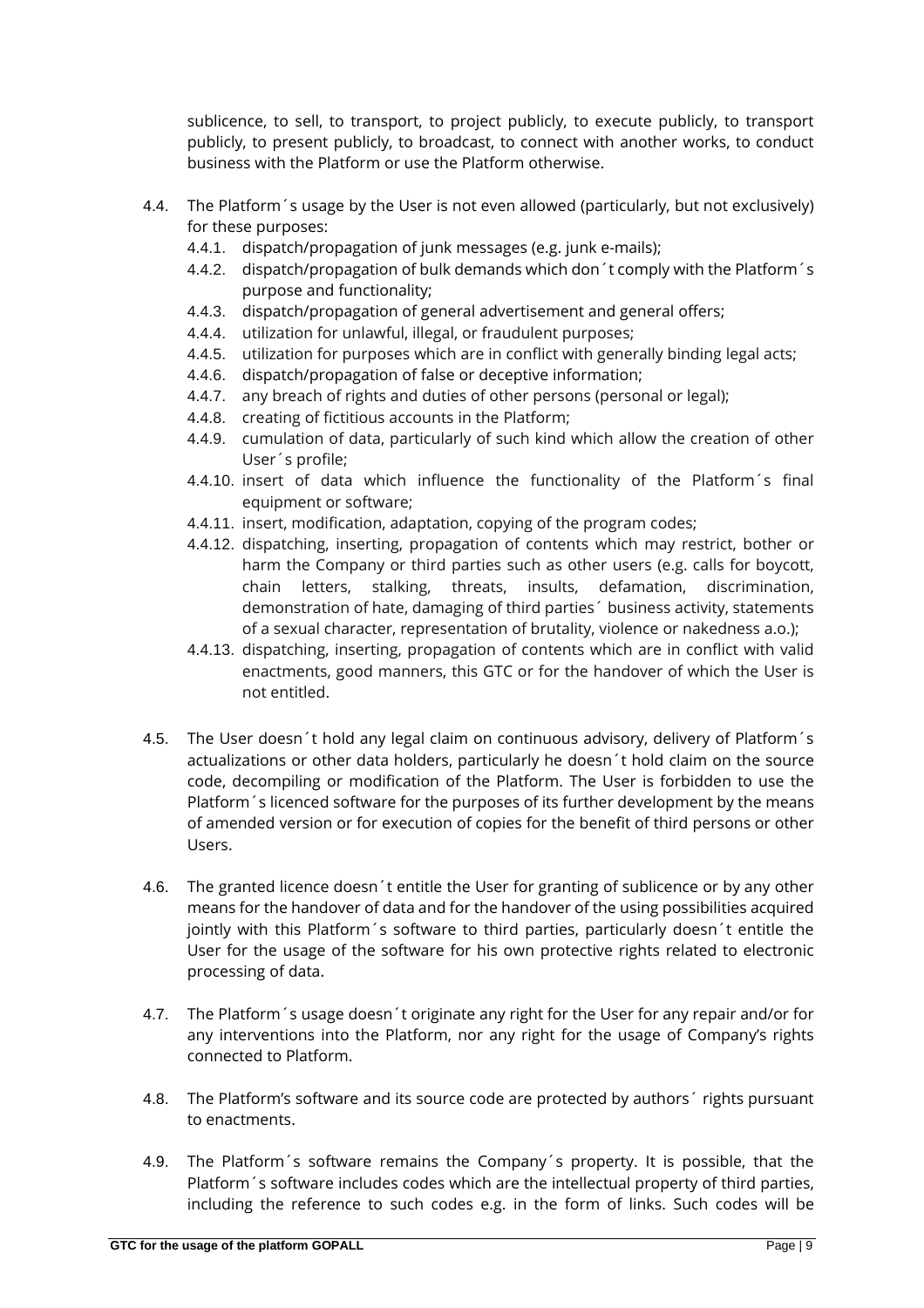sublicence, to sell, to transport, to project publicly, to execute publicly, to transport publicly, to present publicly, to broadcast, to connect with another works, to conduct business with the Platform or use the Platform otherwise.

- 4.4. The Platform´s usage by the User is not even allowed (particularly, but not exclusively) for these purposes:
	- 4.4.1. dispatch/propagation of junk messages (e.g. junk e-mails);
	- 4.4.2. dispatch/propagation of bulk demands which don´t comply with the Platform´s purpose and functionality;
	- 4.4.3. dispatch/propagation of general advertisement and general offers;
	- 4.4.4. utilization for unlawful, illegal, or fraudulent purposes;
	- 4.4.5. utilization for purposes which are in conflict with generally binding legal acts;
	- 4.4.6. dispatch/propagation of false or deceptive information;
	- 4.4.7. any breach of rights and duties of other persons (personal or legal);
	- 4.4.8. creating of fictitious accounts in the Platform;
	- 4.4.9. cumulation of data, particularly of such kind which allow the creation of other User´s profile;
	- 4.4.10. insert of data which influence the functionality of the Platform´s final equipment or software;
	- 4.4.11. insert, modification, adaptation, copying of the program codes;
	- 4.4.12. dispatching, inserting, propagation of contents which may restrict, bother or harm the Company or third parties such as other users (e.g. calls for boycott, chain letters, stalking, threats, insults, defamation, discrimination, demonstration of hate, damaging of third parties´ business activity, statements of a sexual character, representation of brutality, violence or nakedness a.o.);
	- 4.4.13. dispatching, inserting, propagation of contents which are in conflict with valid enactments, good manners, this GTC or for the handover of which the User is not entitled.
- 4.5. The User doesn't hold any legal claim on continuous advisory, delivery of Platform's actualizations or other data holders, particularly he doesn´t hold claim on the source code, decompiling or modification of the Platform. The User is forbidden to use the Platform´s licenced software for the purposes of its further development by the means of amended version or for execution of copies for the benefit of third persons or other Users.
- 4.6. The granted licence doesn´t entitle the User for granting of sublicence or by any other means for the handover of data and for the handover of the using possibilities acquired jointly with this Platform´s software to third parties, particularly doesn´t entitle the User for the usage of the software for his own protective rights related to electronic processing of data.
- 4.7. The Platform´s usage doesn´t originate any right for the User for any repair and/or for any interventions into the Platform, nor any right for the usage of Company's rights connected to Platform.
- 4.8. The Platform's software and its source code are protected by authors  $\epsilon$  rights pursuant to enactments.
- 4.9. The Platform´s software remains the Company´s property. It is possible, that the Platform´s software includes codes which are the intellectual property of third parties, including the reference to such codes e.g. in the form of links. Such codes will be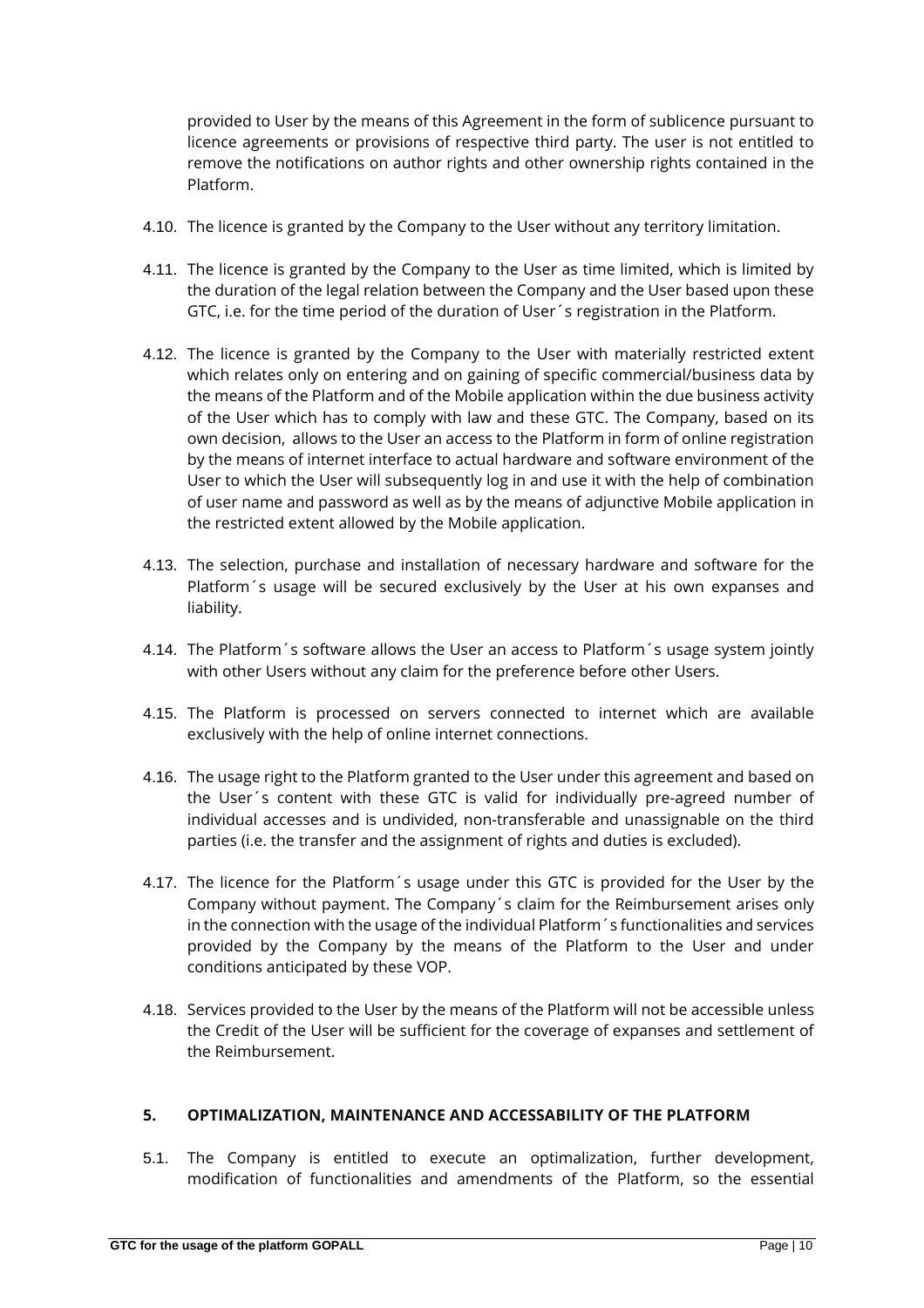provided to User by the means of this Agreement in the form of sublicence pursuant to licence agreements or provisions of respective third party. The user is not entitled to remove the notifications on author rights and other ownership rights contained in the Platform.

- 4.10. The licence is granted by the Company to the User without any territory limitation.
- 4.11. The licence is granted by the Company to the User as time limited, which is limited by the duration of the legal relation between the Company and the User based upon these GTC, i.e. for the time period of the duration of User´s registration in the Platform.
- 4.12. The licence is granted by the Company to the User with materially restricted extent which relates only on entering and on gaining of specific commercial/business data by the means of the Platform and of the Mobile application within the due business activity of the User which has to comply with law and these GTC. The Company, based on its own decision, allows to the User an access to the Platform in form of online registration by the means of internet interface to actual hardware and software environment of the User to which the User will subsequently log in and use it with the help of combination of user name and password as well as by the means of adjunctive Mobile application in the restricted extent allowed by the Mobile application.
- 4.13. The selection, purchase and installation of necessary hardware and software for the Platform´s usage will be secured exclusively by the User at his own expanses and liability.
- 4.14. The Platform´s software allows the User an access to Platform´s usage system jointly with other Users without any claim for the preference before other Users.
- 4.15. The Platform is processed on servers connected to internet which are available exclusively with the help of online internet connections.
- 4.16. The usage right to the Platform granted to the User under this agreement and based on the User´s content with these GTC is valid for individually pre-agreed number of individual accesses and is undivided, non-transferable and unassignable on the third parties (i.e. the transfer and the assignment of rights and duties is excluded).
- 4.17. The licence for the Platform´s usage under this GTC is provided for the User by the Company without payment. The Company´s claim for the Reimbursement arises only in the connection with the usage of the individual Platform´s functionalities and services provided by the Company by the means of the Platform to the User and under conditions anticipated by these VOP.
- 4.18. Services provided to the User by the means of the Platform will not be accessible unless the Credit of the User will be sufficient for the coverage of expanses and settlement of the Reimbursement.

#### **5. OPTIMALIZATION, MAINTENANCE AND ACCESSABILITY OF THE PLATFORM**

5.1. The Company is entitled to execute an optimalization, further development, modification of functionalities and amendments of the Platform, so the essential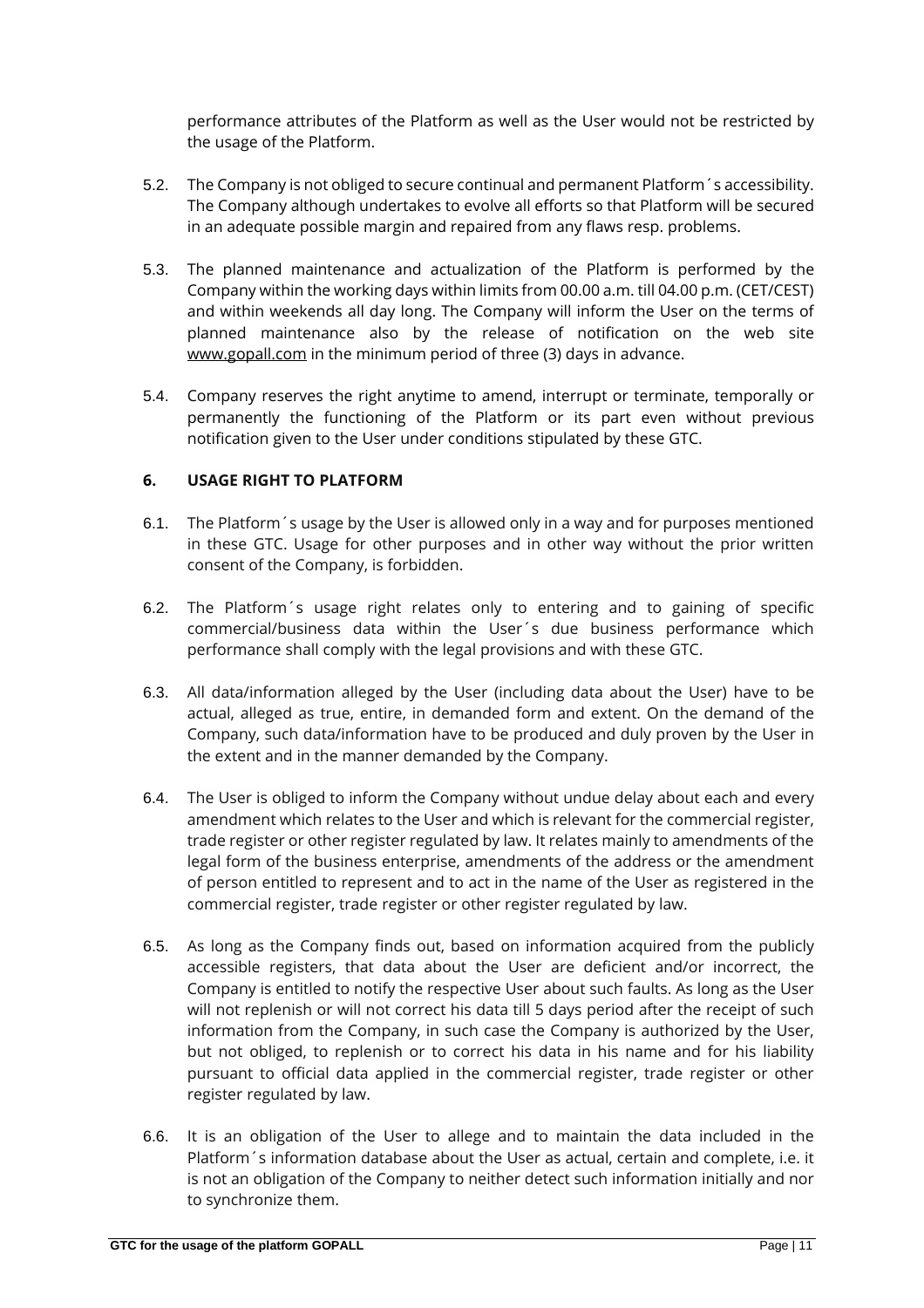performance attributes of the Platform as well as the User would not be restricted by the usage of the Platform.

- 5.2. The Company is not obliged to secure continual and permanent Platform´s accessibility. The Company although undertakes to evolve all efforts so that Platform will be secured in an adequate possible margin and repaired from any flaws resp. problems.
- 5.3. The planned maintenance and actualization of the Platform is performed by the Company within the working days within limits from 00.00 a.m. till 04.00 p.m. (CET/CEST) and within weekends all day long. The Company will inform the User on the terms of planned maintenance also by the release of notification on the web site [www.gopall.com](http://www.gopall.com/) in the minimum period of three (3) days in advance.
- 5.4. Company reserves the right anytime to amend, interrupt or terminate, temporally or permanently the functioning of the Platform or its part even without previous notification given to the User under conditions stipulated by these GTC.

# **6. USAGE RIGHT TO PLATFORM**

- 6.1. The Platform´s usage by the User is allowed only in a way and for purposes mentioned in these GTC. Usage for other purposes and in other way without the prior written consent of the Company, is forbidden.
- 6.2. The Platform´s usage right relates only to entering and to gaining of specific commercial/business data within the User´s due business performance which performance shall comply with the legal provisions and with these GTC.
- 6.3. All data/information alleged by the User (including data about the User) have to be actual, alleged as true, entire, in demanded form and extent. On the demand of the Company, such data/information have to be produced and duly proven by the User in the extent and in the manner demanded by the Company.
- 6.4. The User is obliged to inform the Company without undue delay about each and every amendment which relates to the User and which is relevant for the commercial register, trade register or other register regulated by law. It relates mainly to amendments of the legal form of the business enterprise, amendments of the address or the amendment of person entitled to represent and to act in the name of the User as registered in the commercial register, trade register or other register regulated by law.
- 6.5. As long as the Company finds out, based on information acquired from the publicly accessible registers, that data about the User are deficient and/or incorrect, the Company is entitled to notify the respective User about such faults. As long as the User will not replenish or will not correct his data till 5 days period after the receipt of such information from the Company, in such case the Company is authorized by the User, but not obliged, to replenish or to correct his data in his name and for his liability pursuant to official data applied in the commercial register, trade register or other register regulated by law.
- 6.6. It is an obligation of the User to allege and to maintain the data included in the Platform´s information database about the User as actual, certain and complete, i.e. it is not an obligation of the Company to neither detect such information initially and nor to synchronize them.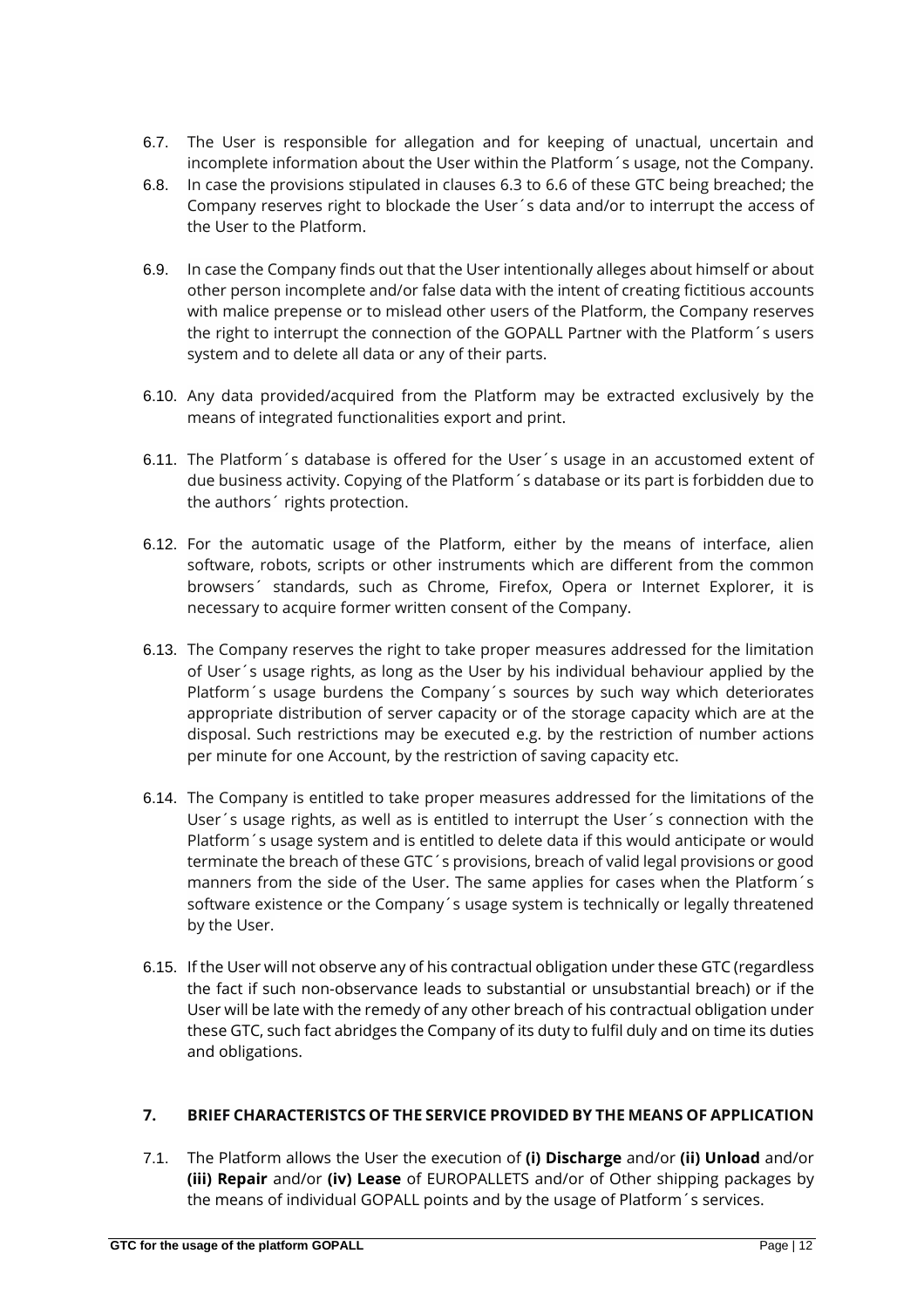- 6.7. The User is responsible for allegation and for keeping of unactual, uncertain and incomplete information about the User within the Platform´s usage, not the Company.
- 6.8. In case the provisions stipulated in clauses 6.3 to 6.6 of these GTC being breached; the Company reserves right to blockade the User´s data and/or to interrupt the access of the User to the Platform.
- 6.9. In case the Company finds out that the User intentionally alleges about himself or about other person incomplete and/or false data with the intent of creating fictitious accounts with malice prepense or to mislead other users of the Platform, the Company reserves the right to interrupt the connection of the GOPALL Partner with the Platform´s users system and to delete all data or any of their parts.
- 6.10. Any data provided/acquired from the Platform may be extracted exclusively by the means of integrated functionalities export and print.
- 6.11. The Platform´s database is offered for the User´s usage in an accustomed extent of due business activity. Copying of the Platform´s database or its part is forbidden due to the authors´ rights protection.
- 6.12. For the automatic usage of the Platform, either by the means of interface, alien software, robots, scripts or other instruments which are different from the common browsers´ standards, such as Chrome, Firefox, Opera or Internet Explorer, it is necessary to acquire former written consent of the Company.
- 6.13. The Company reserves the right to take proper measures addressed for the limitation of User´s usage rights, as long as the User by his individual behaviour applied by the Platform´s usage burdens the Company´s sources by such way which deteriorates appropriate distribution of server capacity or of the storage capacity which are at the disposal. Such restrictions may be executed e.g. by the restriction of number actions per minute for one Account, by the restriction of saving capacity etc.
- 6.14. The Company is entitled to take proper measures addressed for the limitations of the User´s usage rights, as well as is entitled to interrupt the User´s connection with the Platform´s usage system and is entitled to delete data if this would anticipate or would terminate the breach of these GTC´s provisions, breach of valid legal provisions or good manners from the side of the User. The same applies for cases when the Platform´s software existence or the Company´s usage system is technically or legally threatened by the User.
- 6.15. If the User will not observe any of his contractual obligation under these GTC (regardless the fact if such non-observance leads to substantial or unsubstantial breach) or if the User will be late with the remedy of any other breach of his contractual obligation under these GTC, such fact abridges the Company of its duty to fulfil duly and on time its duties and obligations.

# **7. BRIEF CHARACTERISTCS OF THE SERVICE PROVIDED BY THE MEANS OF APPLICATION**

7.1. The Platform allows the User the execution of **(i) Discharge** and/or **(ii) Unload** and/or **(iii) Repair** and/or **(iv) Lease** of EUROPALLETS and/or of Other shipping packages by the means of individual GOPALL points and by the usage of Platform´s services.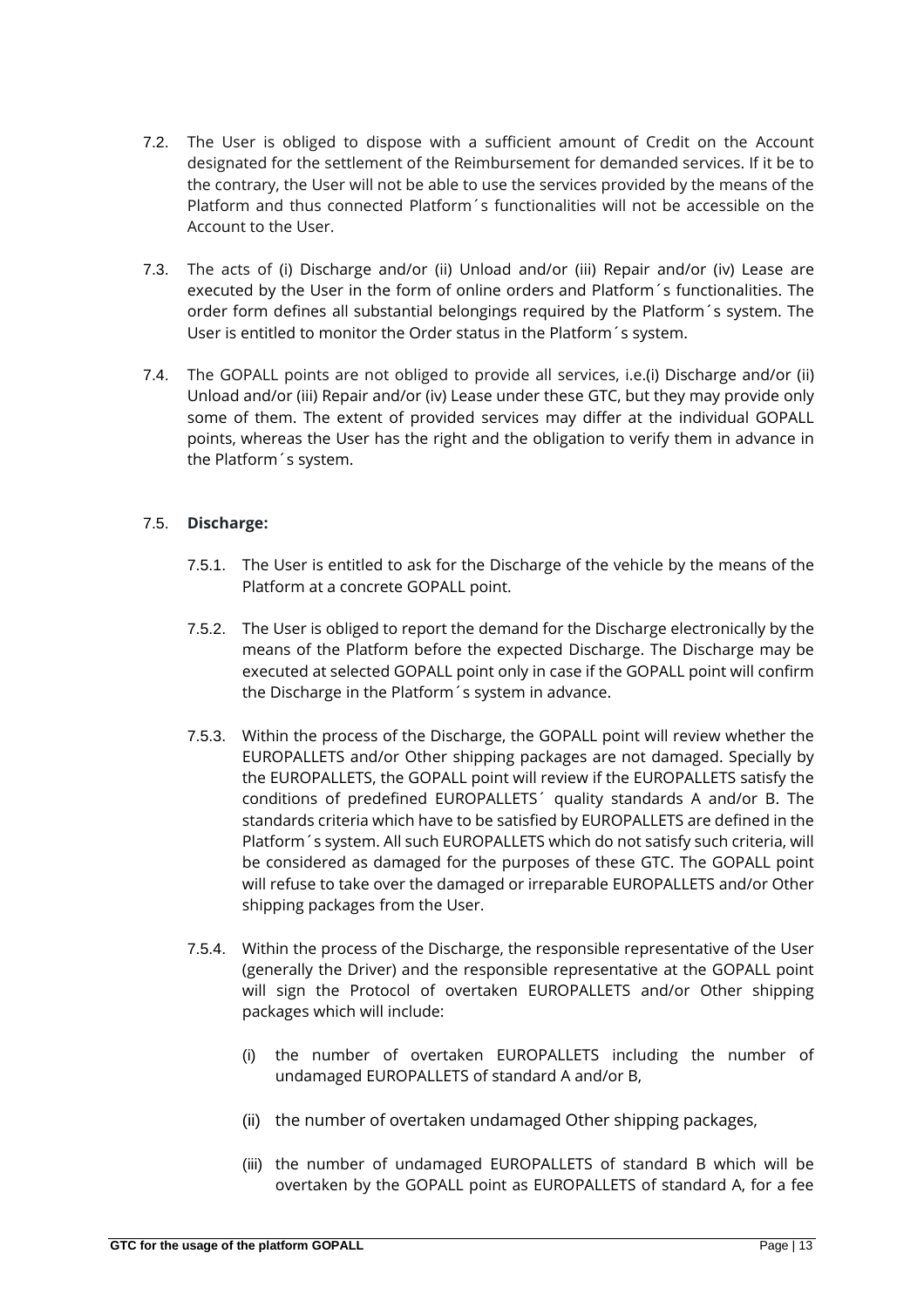- 7.2. The User is obliged to dispose with a sufficient amount of Credit on the Account designated for the settlement of the Reimbursement for demanded services. If it be to the contrary, the User will not be able to use the services provided by the means of the Platform and thus connected Platform´s functionalities will not be accessible on the Account to the User.
- 7.3. The acts of (i) Discharge and/or (ii) Unload and/or (iii) Repair and/or (iv) Lease are executed by the User in the form of online orders and Platform´s functionalities. The order form defines all substantial belongings required by the Platform´s system. The User is entitled to monitor the Order status in the Platform´s system.
- 7.4. The GOPALL points are not obliged to provide all services, i.e.(i) Discharge and/or (ii) Unload and/or (iii) Repair and/or (iv) Lease under these GTC, but they may provide only some of them. The extent of provided services may differ at the individual GOPALL points, whereas the User has the right and the obligation to verify them in advance in the Platform´s system.

# 7.5. **Discharge:**

- 7.5.1. The User is entitled to ask for the Discharge of the vehicle by the means of the Platform at a concrete GOPALL point.
- 7.5.2. The User is obliged to report the demand for the Discharge electronically by the means of the Platform before the expected Discharge. The Discharge may be executed at selected GOPALL point only in case if the GOPALL point will confirm the Discharge in the Platform´s system in advance.
- 7.5.3. Within the process of the Discharge, the GOPALL point will review whether the EUROPALLETS and/or Other shipping packages are not damaged. Specially by the EUROPALLETS, the GOPALL point will review if the EUROPALLETS satisfy the conditions of predefined EUROPALLETS´ quality standards A and/or B. The standards criteria which have to be satisfied by EUROPALLETS are defined in the Platform´s system. All such EUROPALLETS which do not satisfy such criteria, will be considered as damaged for the purposes of these GTC. The GOPALL point will refuse to take over the damaged or irreparable EUROPALLETS and/or Other shipping packages from the User.
- 7.5.4. Within the process of the Discharge, the responsible representative of the User (generally the Driver) and the responsible representative at the GOPALL point will sign the Protocol of overtaken EUROPALLETS and/or Other shipping packages which will include:
	- (i) the number of overtaken EUROPALLETS including the number of undamaged EUROPALLETS of standard A and/or B,
	- (ii) the number of overtaken undamaged Other shipping packages,
	- (iii) the number of undamaged EUROPALLETS of standard B which will be overtaken by the GOPALL point as EUROPALLETS of standard A, for a fee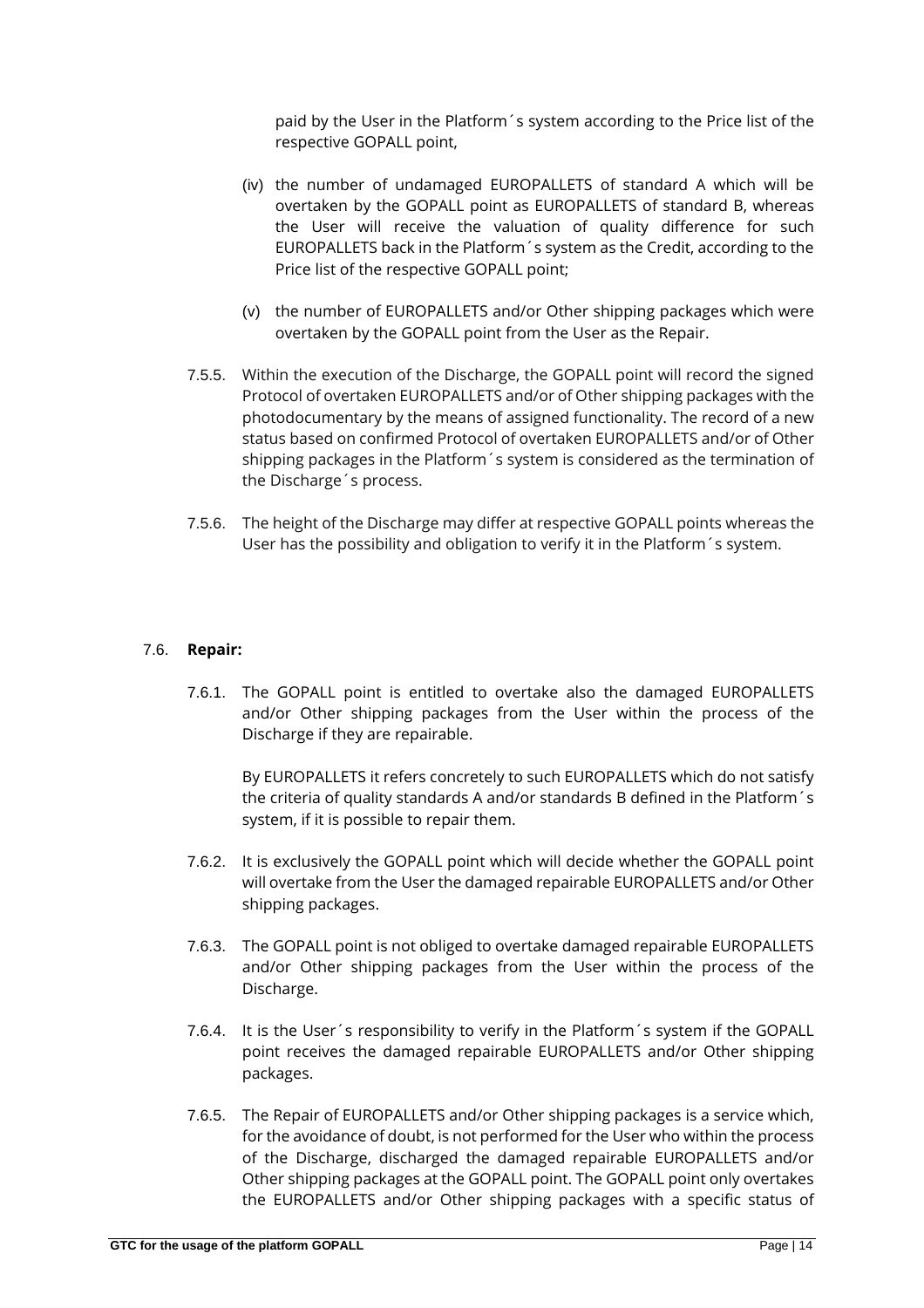paid by the User in the Platform´s system according to the Price list of the respective GOPALL point,

- (iv) the number of undamaged EUROPALLETS of standard A which will be overtaken by the GOPALL point as EUROPALLETS of standard B, whereas the User will receive the valuation of quality difference for such EUROPALLETS back in the Platform´s system as the Credit, according to the Price list of the respective GOPALL point;
- (v) the number of EUROPALLETS and/or Other shipping packages which were overtaken by the GOPALL point from the User as the Repair.
- 7.5.5. Within the execution of the Discharge, the GOPALL point will record the signed Protocol of overtaken EUROPALLETS and/or of Other shipping packages with the photodocumentary by the means of assigned functionality. The record of a new status based on confirmed Protocol of overtaken EUROPALLETS and/or of Other shipping packages in the Platform´s system is considered as the termination of the Discharge´s process.
- 7.5.6. The height of the Discharge may differ at respective GOPALL points whereas the User has the possibility and obligation to verify it in the Platform´s system.

### 7.6. **Repair:**

7.6.1. The GOPALL point is entitled to overtake also the damaged EUROPALLETS and/or Other shipping packages from the User within the process of the Discharge if they are repairable.

By EUROPALLETS it refers concretely to such EUROPALLETS which do not satisfy the criteria of quality standards A and/or standards B defined in the Platform´s system, if it is possible to repair them.

- 7.6.2. It is exclusively the GOPALL point which will decide whether the GOPALL point will overtake from the User the damaged repairable EUROPALLETS and/or Other shipping packages.
- 7.6.3. The GOPALL point is not obliged to overtake damaged repairable EUROPALLETS and/or Other shipping packages from the User within the process of the Discharge.
- 7.6.4. It is the User´s responsibility to verify in the Platform´s system if the GOPALL point receives the damaged repairable EUROPALLETS and/or Other shipping packages.
- 7.6.5. The Repair of EUROPALLETS and/or Other shipping packages is a service which, for the avoidance of doubt, is not performed for the User who within the process of the Discharge, discharged the damaged repairable EUROPALLETS and/or Other shipping packages at the GOPALL point. The GOPALL point only overtakes the EUROPALLETS and/or Other shipping packages with a specific status of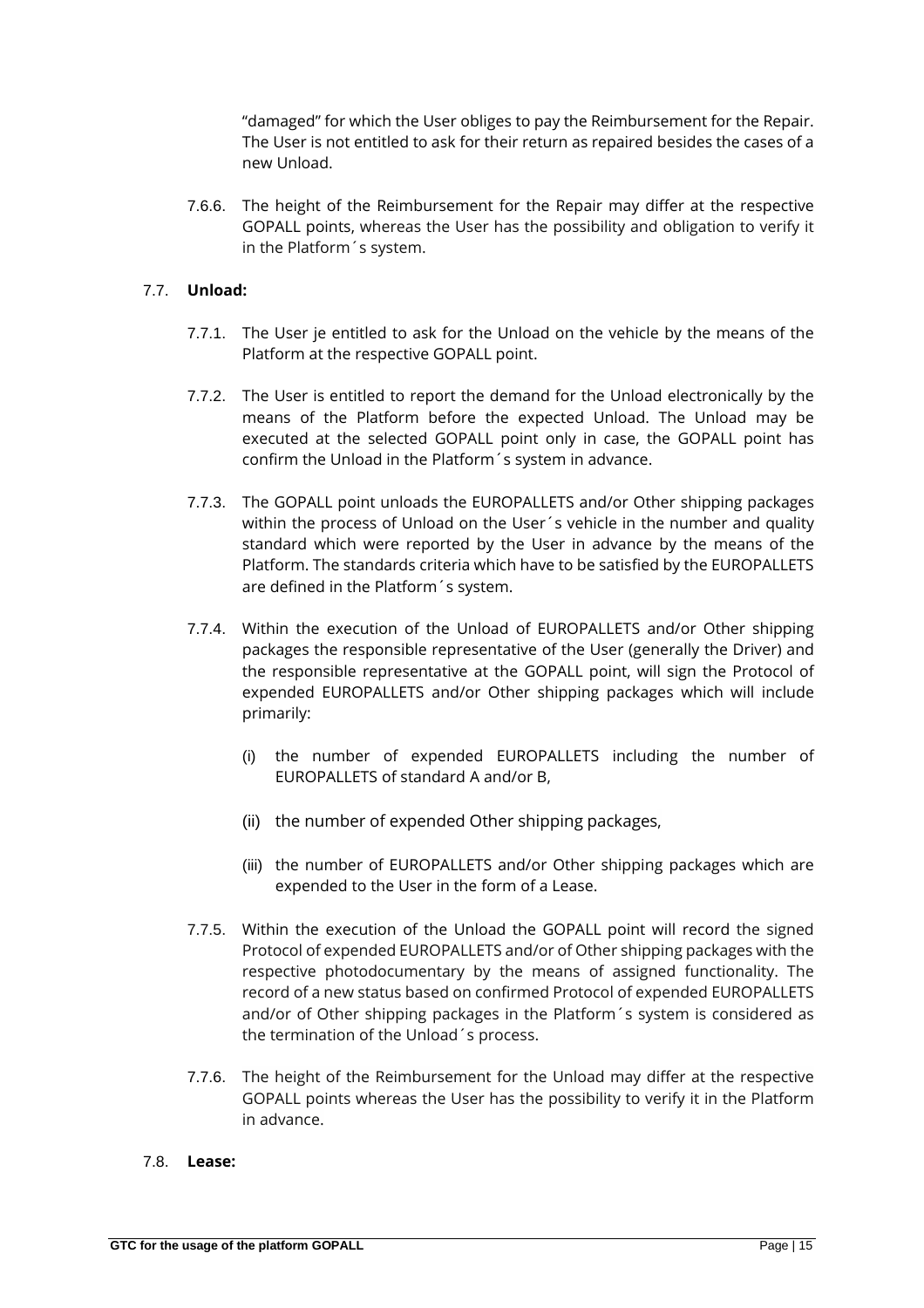"damaged" for which the User obliges to pay the Reimbursement for the Repair. The User is not entitled to ask for their return as repaired besides the cases of a new Unload.

7.6.6. The height of the Reimbursement for the Repair may differ at the respective GOPALL points, whereas the User has the possibility and obligation to verify it in the Platform´s system.

# 7.7. **Unload:**

- 7.7.1. The User je entitled to ask for the Unload on the vehicle by the means of the Platform at the respective GOPALL point.
- 7.7.2. The User is entitled to report the demand for the Unload electronically by the means of the Platform before the expected Unload. The Unload may be executed at the selected GOPALL point only in case, the GOPALL point has confirm the Unload in the Platform´s system in advance.
- 7.7.3. The GOPALL point unloads the EUROPALLETS and/or Other shipping packages within the process of Unload on the User´s vehicle in the number and quality standard which were reported by the User in advance by the means of the Platform. The standards criteria which have to be satisfied by the EUROPALLETS are defined in the Platform´s system.
- 7.7.4. Within the execution of the Unload of EUROPALLETS and/or Other shipping packages the responsible representative of the User (generally the Driver) and the responsible representative at the GOPALL point, will sign the Protocol of expended EUROPALLETS and/or Other shipping packages which will include primarily:
	- (i) the number of expended EUROPALLETS including the number of EUROPALLETS of standard A and/or B,
	- (ii) the number of expended Other shipping packages,
	- (iii) the number of EUROPALLETS and/or Other shipping packages which are expended to the User in the form of a Lease.
- 7.7.5. Within the execution of the Unload the GOPALL point will record the signed Protocol of expended EUROPALLETS and/or of Other shipping packages with the respective photodocumentary by the means of assigned functionality. The record of a new status based on confirmed Protocol of expended EUROPALLETS and/or of Other shipping packages in the Platform´s system is considered as the termination of the Unload´s process.
- 7.7.6. The height of the Reimbursement for the Unload may differ at the respective GOPALL points whereas the User has the possibility to verify it in the Platform in advance.

#### 7.8. **Lease:**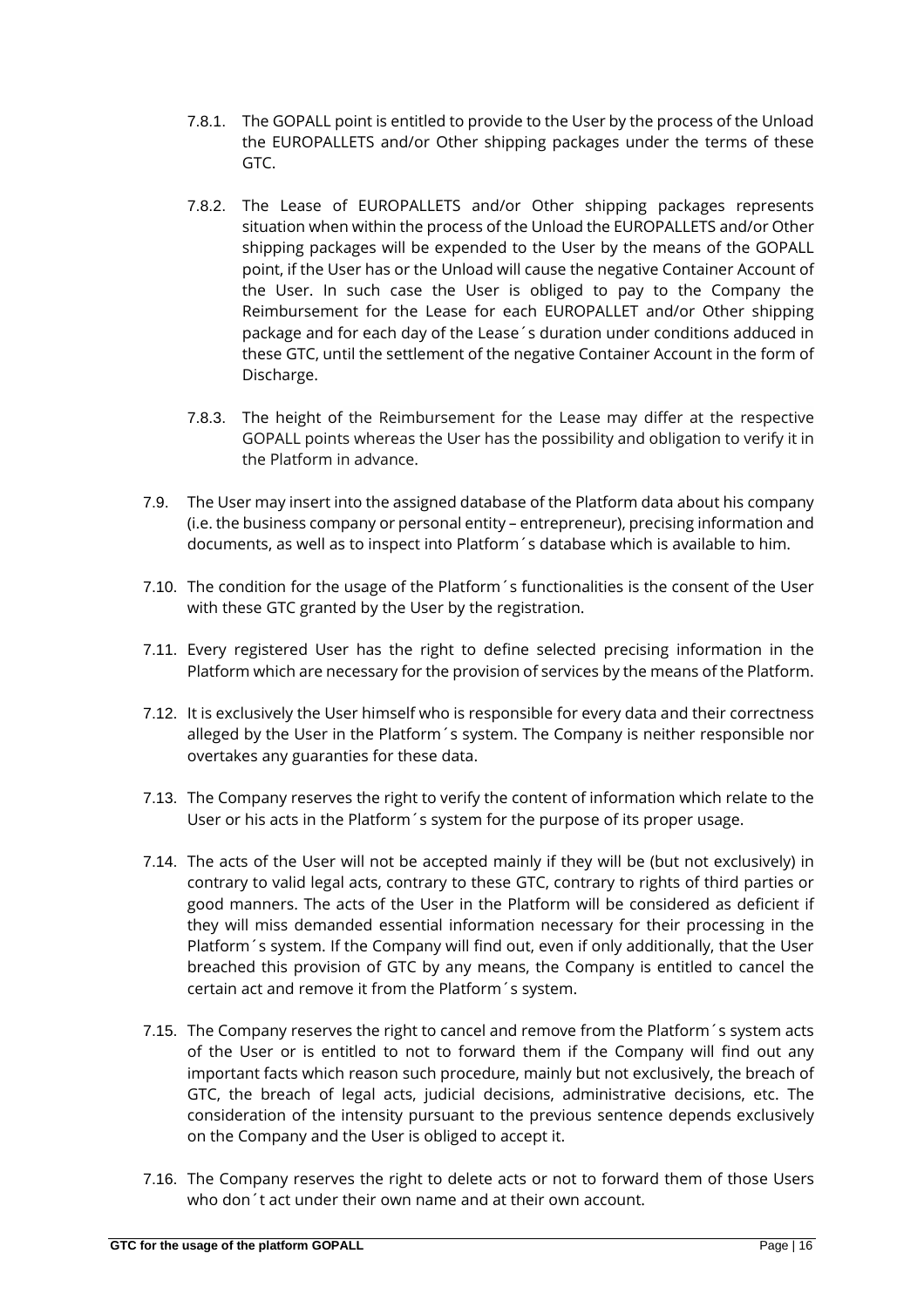- 7.8.1. The GOPALL point is entitled to provide to the User by the process of the Unload the EUROPALLETS and/or Other shipping packages under the terms of these GTC.
- 7.8.2. The Lease of EUROPALLETS and/or Other shipping packages represents situation when within the process of the Unload the EUROPALLETS and/or Other shipping packages will be expended to the User by the means of the GOPALL point, if the User has or the Unload will cause the negative Container Account of the User. In such case the User is obliged to pay to the Company the Reimbursement for the Lease for each EUROPALLET and/or Other shipping package and for each day of the Lease´s duration under conditions adduced in these GTC, until the settlement of the negative Container Account in the form of Discharge.
- 7.8.3. The height of the Reimbursement for the Lease may differ at the respective GOPALL points whereas the User has the possibility and obligation to verify it in the Platform in advance.
- 7.9. The User may insert into the assigned database of the Platform data about his company (i.e. the business company or personal entity – entrepreneur), precising information and documents, as well as to inspect into Platform´s database which is available to him.
- 7.10. The condition for the usage of the Platform´s functionalities is the consent of the User with these GTC granted by the User by the registration.
- 7.11. Every registered User has the right to define selected precising information in the Platform which are necessary for the provision of services by the means of the Platform.
- 7.12. It is exclusively the User himself who is responsible for every data and their correctness alleged by the User in the Platform´s system. The Company is neither responsible nor overtakes any guaranties for these data.
- 7.13. The Company reserves the right to verify the content of information which relate to the User or his acts in the Platform´s system for the purpose of its proper usage.
- 7.14. The acts of the User will not be accepted mainly if they will be (but not exclusively) in contrary to valid legal acts, contrary to these GTC, contrary to rights of third parties or good manners. The acts of the User in the Platform will be considered as deficient if they will miss demanded essential information necessary for their processing in the Platform´s system. If the Company will find out, even if only additionally, that the User breached this provision of GTC by any means, the Company is entitled to cancel the certain act and remove it from the Platform´s system.
- 7.15. The Company reserves the right to cancel and remove from the Platform´s system acts of the User or is entitled to not to forward them if the Company will find out any important facts which reason such procedure, mainly but not exclusively, the breach of GTC, the breach of legal acts, judicial decisions, administrative decisions, etc. The consideration of the intensity pursuant to the previous sentence depends exclusively on the Company and the User is obliged to accept it.
- 7.16. The Company reserves the right to delete acts or not to forward them of those Users who don´t act under their own name and at their own account.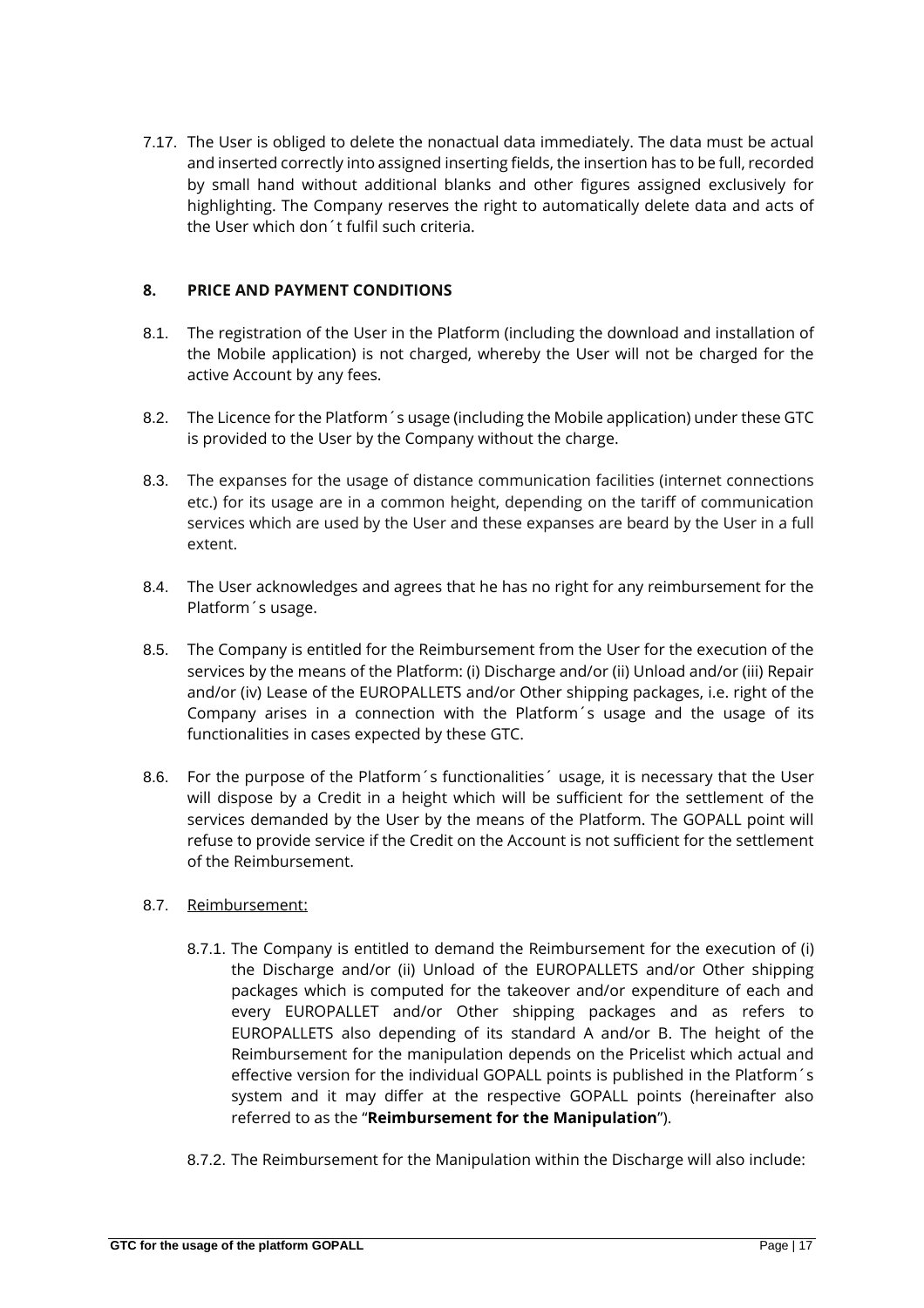7.17. The User is obliged to delete the nonactual data immediately. The data must be actual and inserted correctly into assigned inserting fields, the insertion has to be full, recorded by small hand without additional blanks and other figures assigned exclusively for highlighting. The Company reserves the right to automatically delete data and acts of the User which don´t fulfil such criteria.

# **8. PRICE AND PAYMENT CONDITIONS**

- 8.1. The registration of the User in the Platform (including the download and installation of the Mobile application) is not charged, whereby the User will not be charged for the active Account by any fees.
- 8.2. The Licence for the Platform´s usage (including the Mobile application) under these GTC is provided to the User by the Company without the charge.
- 8.3. The expanses for the usage of distance communication facilities (internet connections etc.) for its usage are in a common height, depending on the tariff of communication services which are used by the User and these expanses are beard by the User in a full extent.
- 8.4. The User acknowledges and agrees that he has no right for any reimbursement for the Platform´s usage.
- 8.5. The Company is entitled for the Reimbursement from the User for the execution of the services by the means of the Platform: (i) Discharge and/or (ii) Unload and/or (iii) Repair and/or (iv) Lease of the EUROPALLETS and/or Other shipping packages, i.e. right of the Company arises in a connection with the Platform´s usage and the usage of its functionalities in cases expected by these GTC.
- 8.6. For the purpose of the Platform's functionalities' usage, it is necessary that the User will dispose by a Credit in a height which will be sufficient for the settlement of the services demanded by the User by the means of the Platform. The GOPALL point will refuse to provide service if the Credit on the Account is not sufficient for the settlement of the Reimbursement.
- 8.7. Reimbursement:
	- 8.7.1. The Company is entitled to demand the Reimbursement for the execution of (i) the Discharge and/or (ii) Unload of the EUROPALLETS and/or Other shipping packages which is computed for the takeover and/or expenditure of each and every EUROPALLET and/or Other shipping packages and as refers to EUROPALLETS also depending of its standard A and/or B. The height of the Reimbursement for the manipulation depends on the Pricelist which actual and effective version for the individual GOPALL points is published in the Platform´s system and it may differ at the respective GOPALL points (hereinafter also referred to as the "**Reimbursement for the Manipulation**").
	- 8.7.2. The Reimbursement for the Manipulation within the Discharge will also include: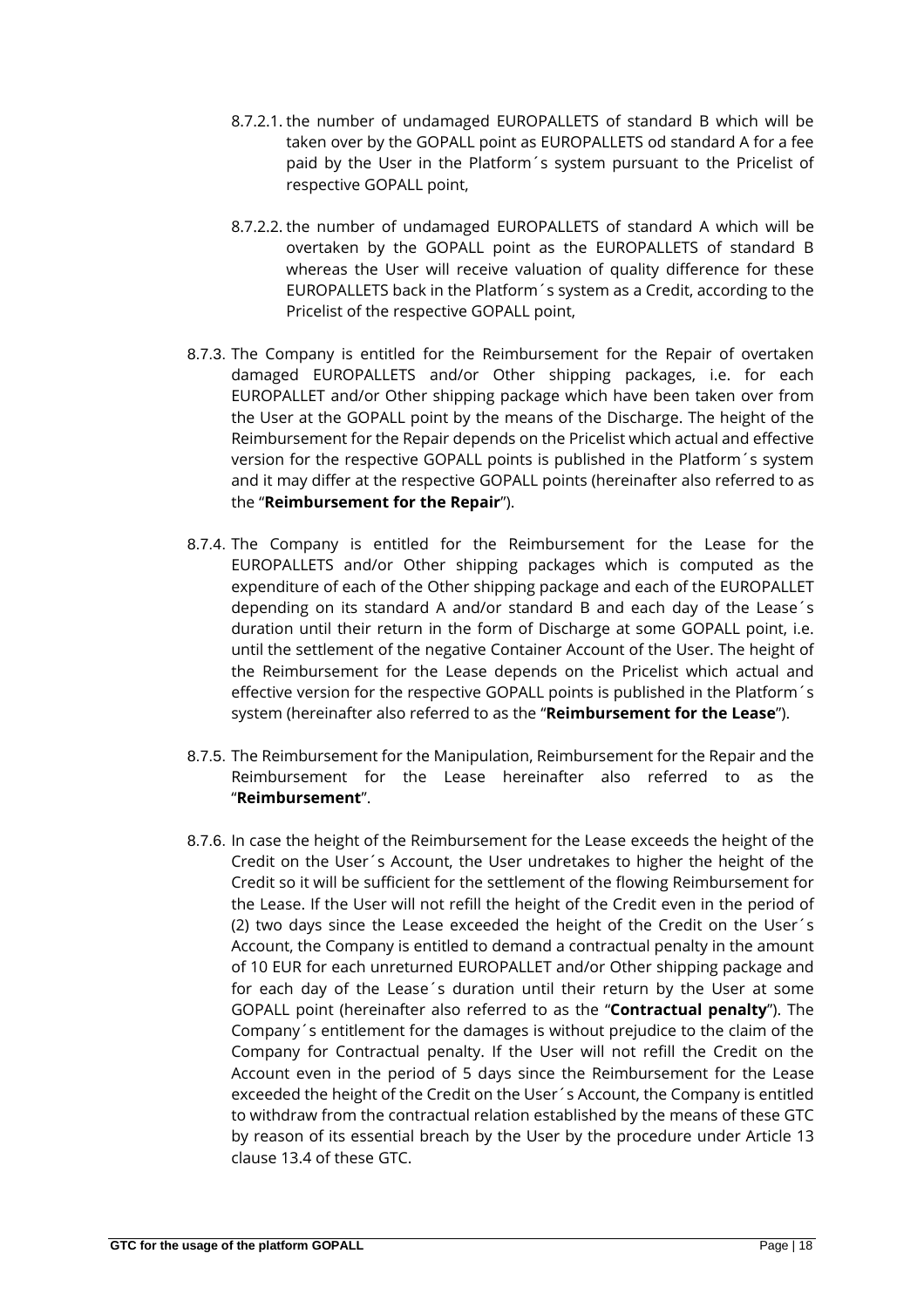- 8.7.2.1. the number of undamaged EUROPALLETS of standard B which will be taken over by the GOPALL point as EUROPALLETS od standard A for a fee paid by the User in the Platform´s system pursuant to the Pricelist of respective GOPALL point,
- 8.7.2.2. the number of undamaged EUROPALLETS of standard A which will be overtaken by the GOPALL point as the EUROPALLETS of standard B whereas the User will receive valuation of quality difference for these EUROPALLETS back in the Platform´s system as a Credit, according to the Pricelist of the respective GOPALL point,
- 8.7.3. The Company is entitled for the Reimbursement for the Repair of overtaken damaged EUROPALLETS and/or Other shipping packages, i.e. for each EUROPALLET and/or Other shipping package which have been taken over from the User at the GOPALL point by the means of the Discharge. The height of the Reimbursement for the Repair depends on the Pricelist which actual and effective version for the respective GOPALL points is published in the Platform´s system and it may differ at the respective GOPALL points (hereinafter also referred to as the "**Reimbursement for the Repair**").
- 8.7.4. The Company is entitled for the Reimbursement for the Lease for the EUROPALLETS and/or Other shipping packages which is computed as the expenditure of each of the Other shipping package and each of the EUROPALLET depending on its standard A and/or standard B and each day of the Lease´s duration until their return in the form of Discharge at some GOPALL point, i.e. until the settlement of the negative Container Account of the User. The height of the Reimbursement for the Lease depends on the Pricelist which actual and effective version for the respective GOPALL points is published in the Platform´s system (hereinafter also referred to as the "**Reimbursement for the Lease**").
- 8.7.5. The Reimbursement for the Manipulation, Reimbursement for the Repair and the Reimbursement for the Lease hereinafter also referred to as the "**Reimbursement**".
- 8.7.6. In case the height of the Reimbursement for the Lease exceeds the height of the Credit on the User´s Account, the User undretakes to higher the height of the Credit so it will be sufficient for the settlement of the flowing Reimbursement for the Lease. If the User will not refill the height of the Credit even in the period of (2) two days since the Lease exceeded the height of the Credit on the User´s Account, the Company is entitled to demand a contractual penalty in the amount of 10 EUR for each unreturned EUROPALLET and/or Other shipping package and for each day of the Lease´s duration until their return by the User at some GOPALL point (hereinafter also referred to as the "**Contractual penalty**"). The Company´s entitlement for the damages is without prejudice to the claim of the Company for Contractual penalty. If the User will not refill the Credit on the Account even in the period of 5 days since the Reimbursement for the Lease exceeded the height of the Credit on the User´s Account, the Company is entitled to withdraw from the contractual relation established by the means of these GTC by reason of its essential breach by the User by the procedure under Article 13 clause 13.4 of these GTC.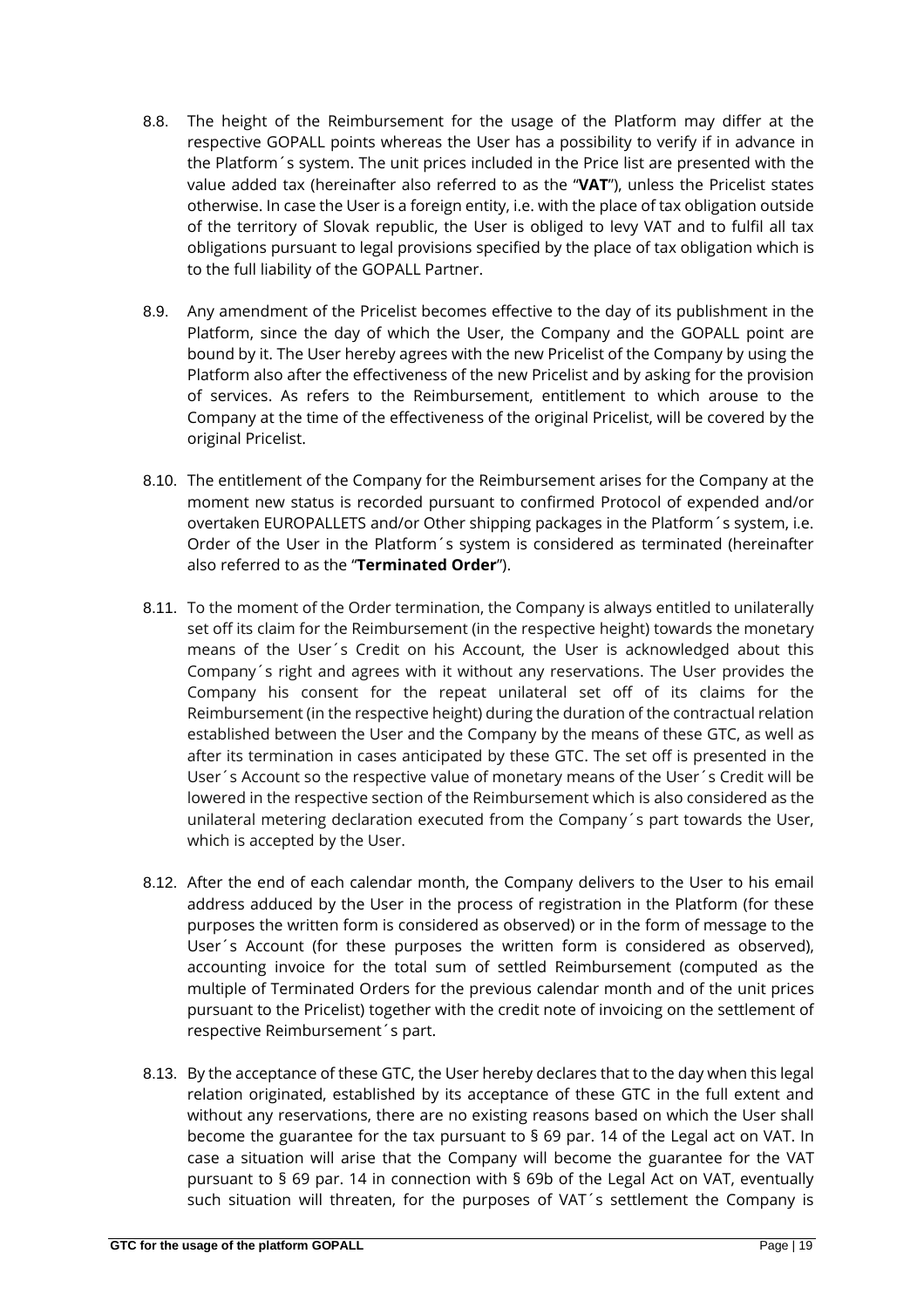- 8.8. The height of the Reimbursement for the usage of the Platform may differ at the respective GOPALL points whereas the User has a possibility to verify if in advance in the Platform´s system. The unit prices included in the Price list are presented with the value added tax (hereinafter also referred to as the "**VAT**"), unless the Pricelist states otherwise. In case the User is a foreign entity, i.e. with the place of tax obligation outside of the territory of Slovak republic, the User is obliged to levy VAT and to fulfil all tax obligations pursuant to legal provisions specified by the place of tax obligation which is to the full liability of the GOPALL Partner.
- 8.9. Any amendment of the Pricelist becomes effective to the day of its publishment in the Platform, since the day of which the User, the Company and the GOPALL point are bound by it. The User hereby agrees with the new Pricelist of the Company by using the Platform also after the effectiveness of the new Pricelist and by asking for the provision of services. As refers to the Reimbursement, entitlement to which arouse to the Company at the time of the effectiveness of the original Pricelist, will be covered by the original Pricelist.
- 8.10. The entitlement of the Company for the Reimbursement arises for the Company at the moment new status is recorded pursuant to confirmed Protocol of expended and/or overtaken EUROPALLETS and/or Other shipping packages in the Platform´s system, i.e. Order of the User in the Platform´s system is considered as terminated (hereinafter also referred to as the "**Terminated Order**").
- 8.11. To the moment of the Order termination, the Company is always entitled to unilaterally set off its claim for the Reimbursement (in the respective height) towards the monetary means of the User´s Credit on his Account, the User is acknowledged about this Company´s right and agrees with it without any reservations. The User provides the Company his consent for the repeat unilateral set off of its claims for the Reimbursement (in the respective height) during the duration of the contractual relation established between the User and the Company by the means of these GTC, as well as after its termination in cases anticipated by these GTC. The set off is presented in the User´s Account so the respective value of monetary means of the User´s Credit will be lowered in the respective section of the Reimbursement which is also considered as the unilateral metering declaration executed from the Company´s part towards the User, which is accepted by the User.
- 8.12. After the end of each calendar month, the Company delivers to the User to his email address adduced by the User in the process of registration in the Platform (for these purposes the written form is considered as observed) or in the form of message to the User´s Account (for these purposes the written form is considered as observed), accounting invoice for the total sum of settled Reimbursement (computed as the multiple of Terminated Orders for the previous calendar month and of the unit prices pursuant to the Pricelist) together with the credit note of invoicing on the settlement of respective Reimbursement´s part.
- 8.13. By the acceptance of these GTC, the User hereby declares that to the day when this legal relation originated, established by its acceptance of these GTC in the full extent and without any reservations, there are no existing reasons based on which the User shall become the guarantee for the tax pursuant to § 69 par. 14 of the Legal act on VAT. In case a situation will arise that the Company will become the guarantee for the VAT pursuant to § 69 par. 14 in connection with § 69b of the Legal Act on VAT, eventually such situation will threaten, for the purposes of VAT´s settlement the Company is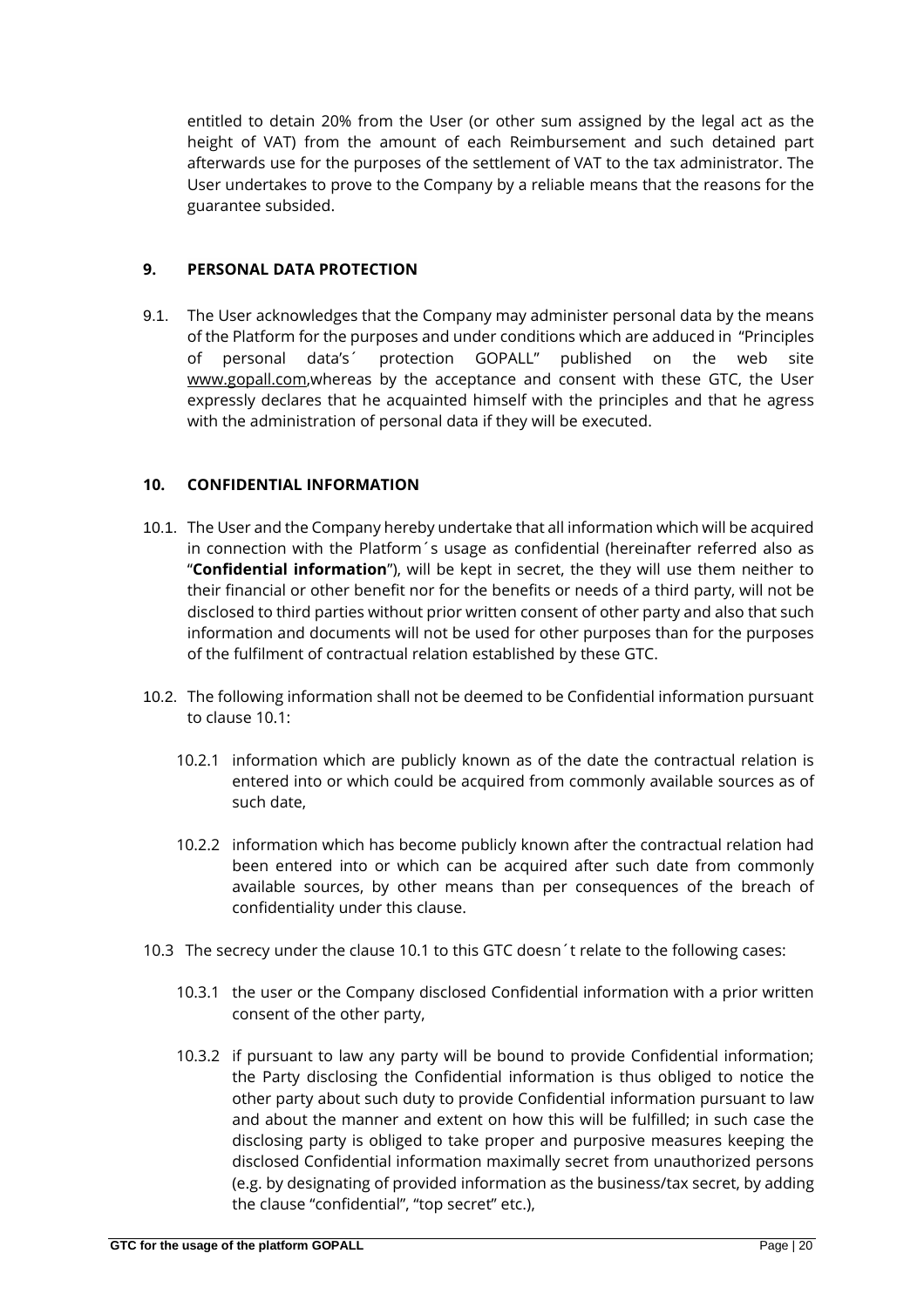entitled to detain 20% from the User (or other sum assigned by the legal act as the height of VAT) from the amount of each Reimbursement and such detained part afterwards use for the purposes of the settlement of VAT to the tax administrator. The User undertakes to prove to the Company by a reliable means that the reasons for the guarantee subsided.

# **9. PERSONAL DATA PROTECTION**

9.1. The User acknowledges that the Company may administer personal data by the means of the Platform for the purposes and under conditions which are adduced in "Principles of personal data's´ protection GOPALL" published on the web site [www.gopall.com,w](http://www.gopall.com/)hereas by the acceptance and consent with these GTC, the User expressly declares that he acquainted himself with the principles and that he agress with the administration of personal data if they will be executed.

# **10. CONFIDENTIAL INFORMATION**

- 10.1. The User and the Company hereby undertake that all information which will be acquired in connection with the Platform´s usage as confidential (hereinafter referred also as "**Confidential information**"), will be kept in secret, the they will use them neither to their financial or other benefit nor for the benefits or needs of a third party, will not be disclosed to third parties without prior written consent of other party and also that such information and documents will not be used for other purposes than for the purposes of the fulfilment of contractual relation established by these GTC.
- 10.2. The following information shall not be deemed to be Confidential information pursuant to clause 10.1:
	- 10.2.1 information which are publicly known as of the date the contractual relation is entered into or which could be acquired from commonly available sources as of such date,
	- 10.2.2 information which has become publicly known after the contractual relation had been entered into or which can be acquired after such date from commonly available sources, by other means than per consequences of the breach of confidentiality under this clause.
- 10.3 The secrecy under the clause 10.1 to this GTC doesn´t relate to the following cases:
	- 10.3.1 the user or the Company disclosed Confidential information with a prior written consent of the other party,
	- 10.3.2 if pursuant to law any party will be bound to provide Confidential information; the Party disclosing the Confidential information is thus obliged to notice the other party about such duty to provide Confidential information pursuant to law and about the manner and extent on how this will be fulfilled; in such case the disclosing party is obliged to take proper and purposive measures keeping the disclosed Confidential information maximally secret from unauthorized persons (e.g. by designating of provided information as the business/tax secret, by adding the clause "confidential", "top secret" etc.),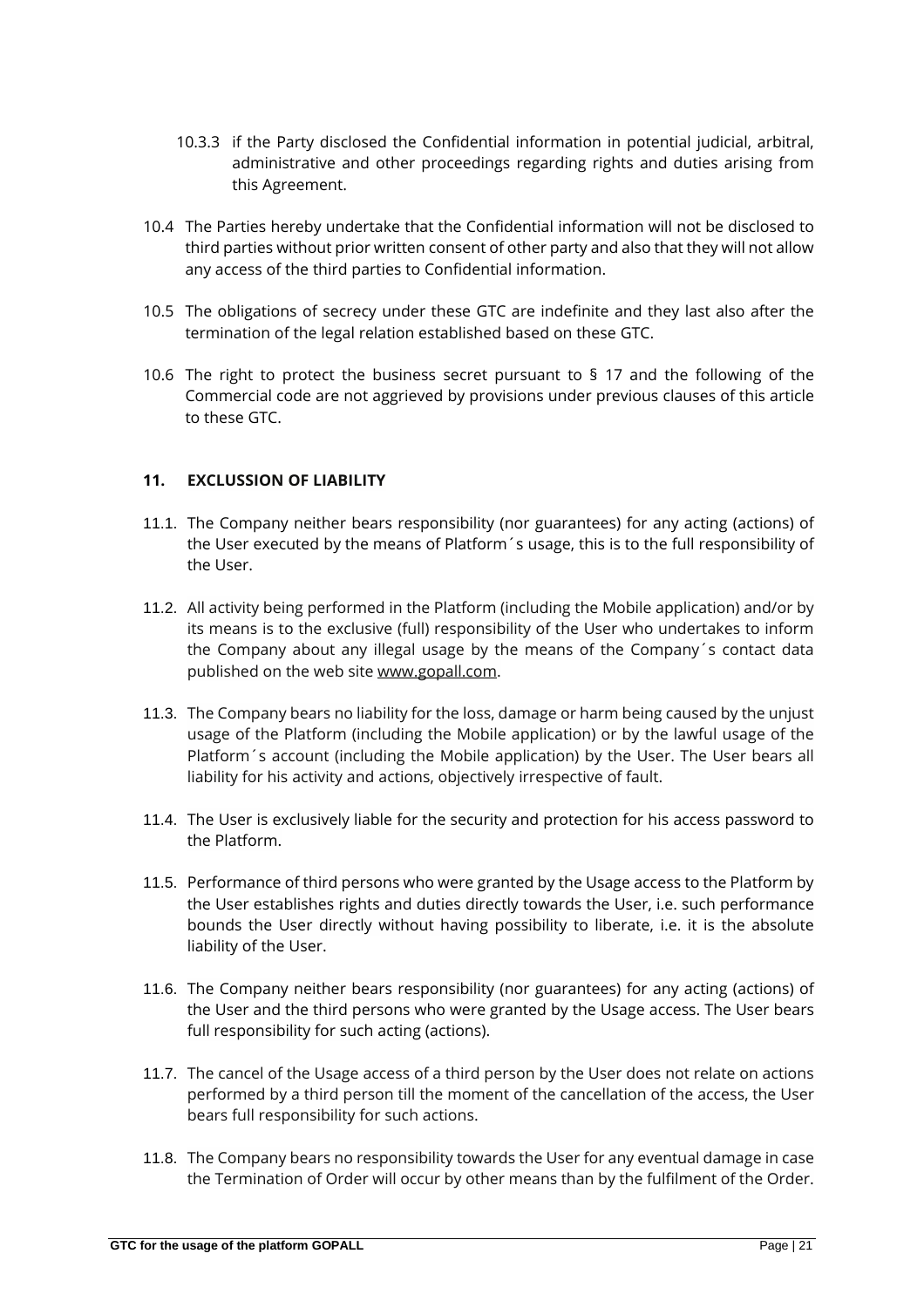- 10.3.3 if the Party disclosed the Confidential information in potential judicial, arbitral, administrative and other proceedings regarding rights and duties arising from this Agreement.
- 10.4 The Parties hereby undertake that the Confidential information will not be disclosed to third parties without prior written consent of other party and also that they will not allow any access of the third parties to Confidential information.
- 10.5 The obligations of secrecy under these GTC are indefinite and they last also after the termination of the legal relation established based on these GTC.
- 10.6 The right to protect the business secret pursuant to § 17 and the following of the Commercial code are not aggrieved by provisions under previous clauses of this article to these GTC.

# **11. EXCLUSSION OF LIABILITY**

- 11.1. The Company neither bears responsibility (nor guarantees) for any acting (actions) of the User executed by the means of Platform´s usage, this is to the full responsibility of the User.
- 11.2. All activity being performed in the Platform (including the Mobile application) and/or by its means is to the exclusive (full) responsibility of the User who undertakes to inform the Company about any illegal usage by the means of the Company´s contact data published on the web site [www.gopall.com.](http://www.gopall.com/)
- 11.3. The Company bears no liability for the loss, damage or harm being caused by the unjust usage of the Platform (including the Mobile application) or by the lawful usage of the Platform´s account (including the Mobile application) by the User. The User bears all liability for his activity and actions, objectively irrespective of fault.
- 11.4. The User is exclusively liable for the security and protection for his access password to the Platform.
- 11.5. Performance of third persons who were granted by the Usage access to the Platform by the User establishes rights and duties directly towards the User, i.e. such performance bounds the User directly without having possibility to liberate, i.e. it is the absolute liability of the User.
- 11.6. The Company neither bears responsibility (nor guarantees) for any acting (actions) of the User and the third persons who were granted by the Usage access. The User bears full responsibility for such acting (actions).
- 11.7. The cancel of the Usage access of a third person by the User does not relate on actions performed by a third person till the moment of the cancellation of the access, the User bears full responsibility for such actions.
- 11.8. The Company bears no responsibility towards the User for any eventual damage in case the Termination of Order will occur by other means than by the fulfilment of the Order.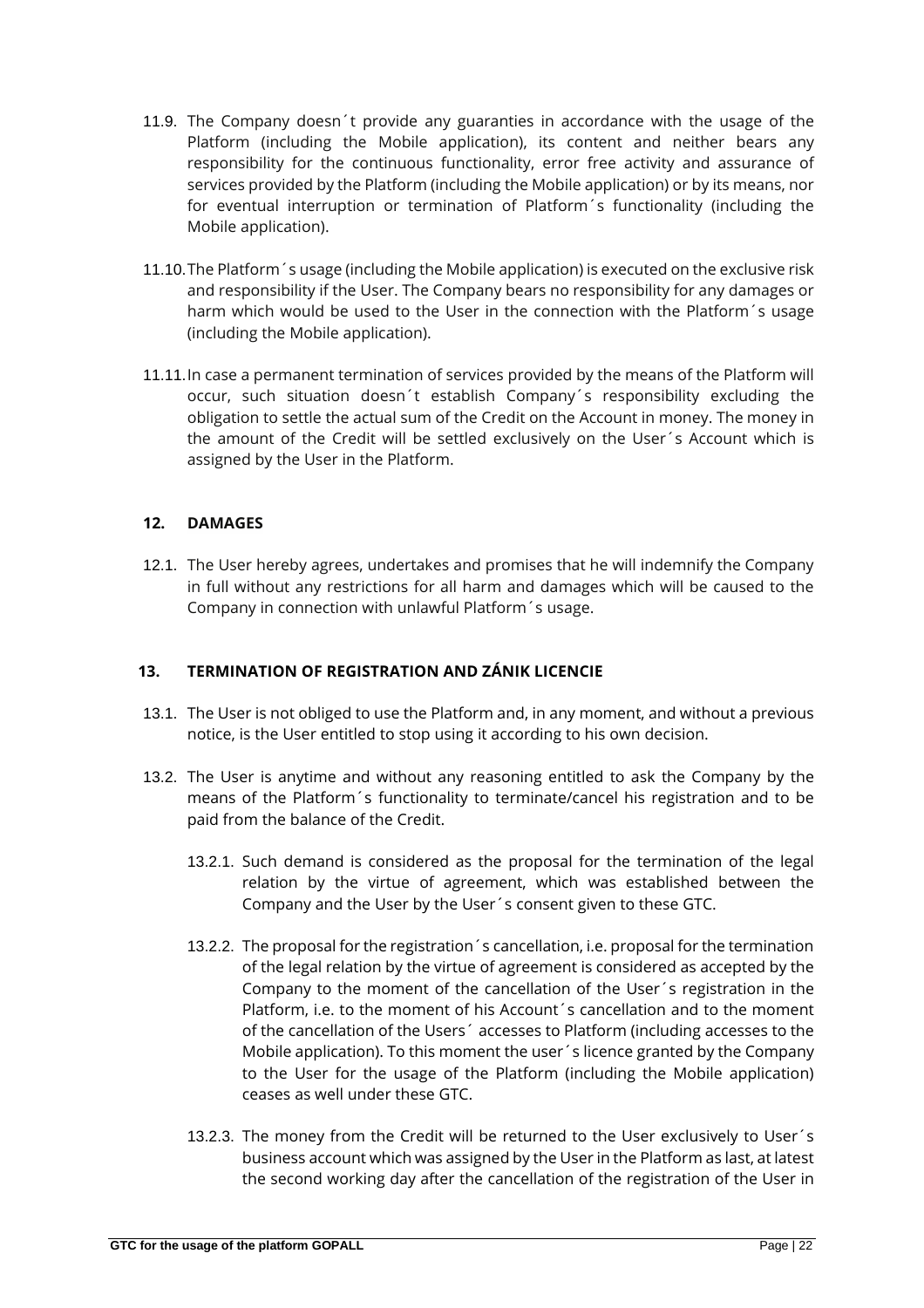- 11.9. The Company doesn´t provide any guaranties in accordance with the usage of the Platform (including the Mobile application), its content and neither bears any responsibility for the continuous functionality, error free activity and assurance of services provided by the Platform (including the Mobile application) or by its means, nor for eventual interruption or termination of Platform´s functionality (including the Mobile application).
- 11.10.The Platform´s usage (including the Mobile application) is executed on the exclusive risk and responsibility if the User. The Company bears no responsibility for any damages or harm which would be used to the User in the connection with the Platform´s usage (including the Mobile application).
- 11.11.In case a permanent termination of services provided by the means of the Platform will occur, such situation doesn´t establish Company´s responsibility excluding the obligation to settle the actual sum of the Credit on the Account in money. The money in the amount of the Credit will be settled exclusively on the User´s Account which is assigned by the User in the Platform.

# **12. DAMAGES**

12.1. The User hereby agrees, undertakes and promises that he will indemnify the Company in full without any restrictions for all harm and damages which will be caused to the Company in connection with unlawful Platform´s usage.

# **13. TERMINATION OF REGISTRATION AND ZÁNIK LICENCIE**

- 13.1. The User is not obliged to use the Platform and, in any moment, and without a previous notice, is the User entitled to stop using it according to his own decision.
- 13.2. The User is anytime and without any reasoning entitled to ask the Company by the means of the Platform´s functionality to terminate/cancel his registration and to be paid from the balance of the Credit.
	- 13.2.1. Such demand is considered as the proposal for the termination of the legal relation by the virtue of agreement, which was established between the Company and the User by the User´s consent given to these GTC.
	- 13.2.2. The proposal for the registration´s cancellation, i.e. proposal for the termination of the legal relation by the virtue of agreement is considered as accepted by the Company to the moment of the cancellation of the User´s registration in the Platform, i.e. to the moment of his Account's cancellation and to the moment of the cancellation of the Users´ accesses to Platform (including accesses to the Mobile application). To this moment the user´s licence granted by the Company to the User for the usage of the Platform (including the Mobile application) ceases as well under these GTC.
	- 13.2.3. The money from the Credit will be returned to the User exclusively to User´s business account which was assigned by the User in the Platform as last, at latest the second working day after the cancellation of the registration of the User in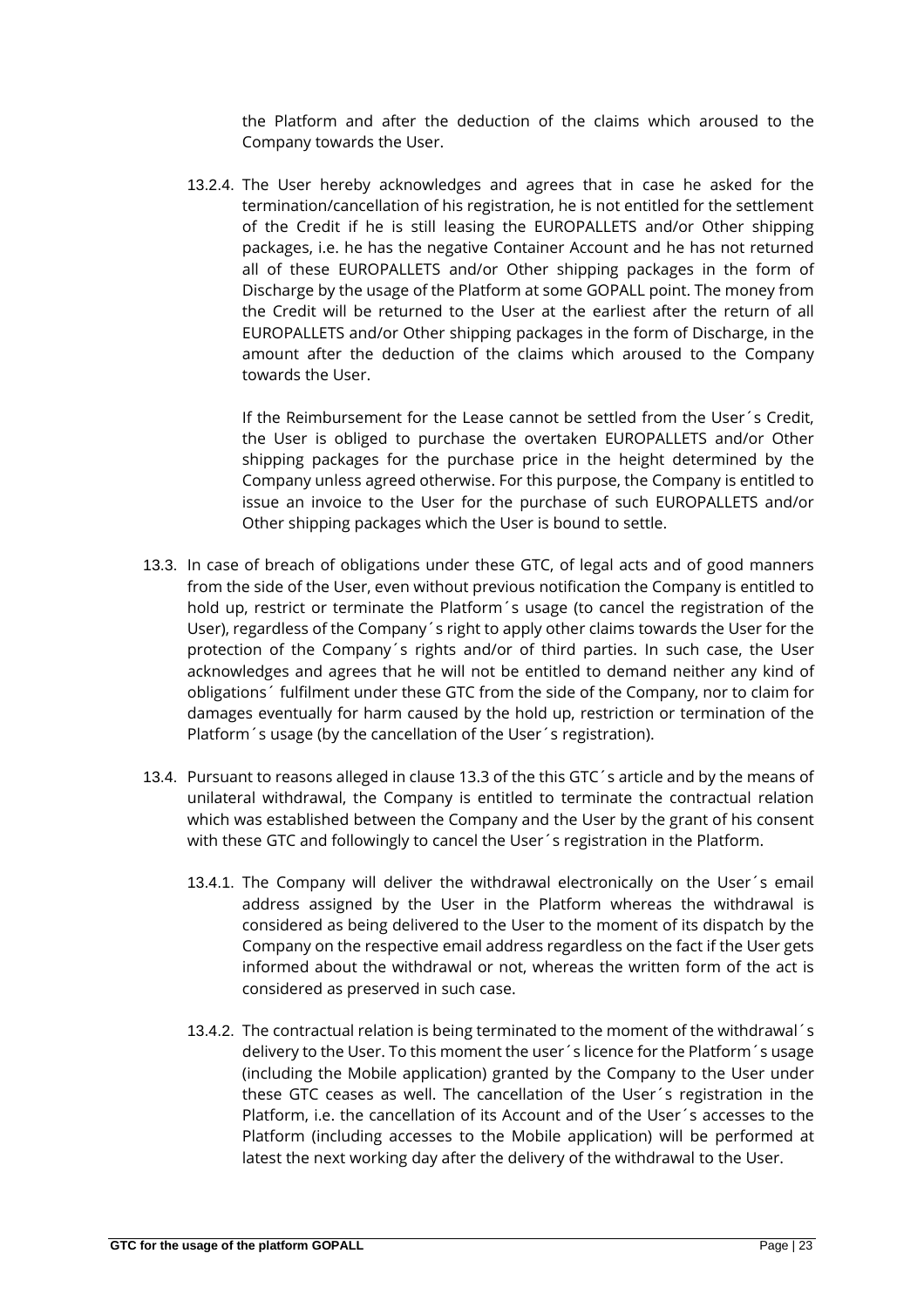the Platform and after the deduction of the claims which aroused to the Company towards the User.

13.2.4. The User hereby acknowledges and agrees that in case he asked for the termination/cancellation of his registration, he is not entitled for the settlement of the Credit if he is still leasing the EUROPALLETS and/or Other shipping packages, i.e. he has the negative Container Account and he has not returned all of these EUROPALLETS and/or Other shipping packages in the form of Discharge by the usage of the Platform at some GOPALL point. The money from the Credit will be returned to the User at the earliest after the return of all EUROPALLETS and/or Other shipping packages in the form of Discharge, in the amount after the deduction of the claims which aroused to the Company towards the User.

If the Reimbursement for the Lease cannot be settled from the User´s Credit, the User is obliged to purchase the overtaken EUROPALLETS and/or Other shipping packages for the purchase price in the height determined by the Company unless agreed otherwise. For this purpose, the Company is entitled to issue an invoice to the User for the purchase of such EUROPALLETS and/or Other shipping packages which the User is bound to settle.

- 13.3. In case of breach of obligations under these GTC, of legal acts and of good manners from the side of the User, even without previous notification the Company is entitled to hold up, restrict or terminate the Platform´s usage (to cancel the registration of the User), regardless of the Company´s right to apply other claims towards the User for the protection of the Company´s rights and/or of third parties. In such case, the User acknowledges and agrees that he will not be entitled to demand neither any kind of obligations´ fulfilment under these GTC from the side of the Company, nor to claim for damages eventually for harm caused by the hold up, restriction or termination of the Platform´s usage (by the cancellation of the User´s registration).
- 13.4. Pursuant to reasons alleged in clause 13.3 of the this GTC´s article and by the means of unilateral withdrawal, the Company is entitled to terminate the contractual relation which was established between the Company and the User by the grant of his consent with these GTC and followingly to cancel the User's registration in the Platform.
	- 13.4.1. The Company will deliver the withdrawal electronically on the User´s email address assigned by the User in the Platform whereas the withdrawal is considered as being delivered to the User to the moment of its dispatch by the Company on the respective email address regardless on the fact if the User gets informed about the withdrawal or not, whereas the written form of the act is considered as preserved in such case.
	- 13.4.2. The contractual relation is being terminated to the moment of the withdrawal´s delivery to the User. To this moment the user´s licence for the Platform´s usage (including the Mobile application) granted by the Company to the User under these GTC ceases as well. The cancellation of the User´s registration in the Platform, i.e. the cancellation of its Account and of the User´s accesses to the Platform (including accesses to the Mobile application) will be performed at latest the next working day after the delivery of the withdrawal to the User.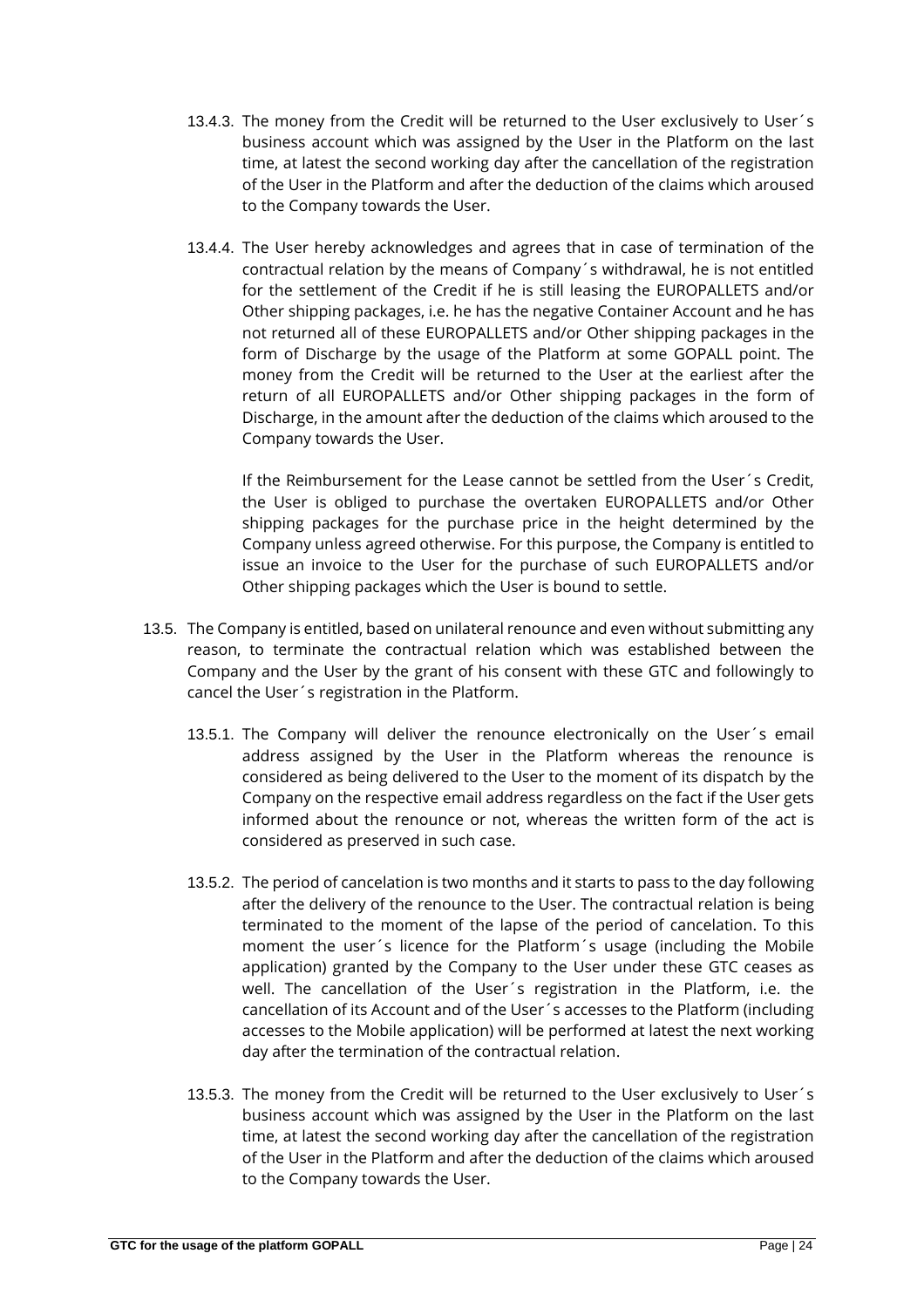- 13.4.3. The money from the Credit will be returned to the User exclusively to User´s business account which was assigned by the User in the Platform on the last time, at latest the second working day after the cancellation of the registration of the User in the Platform and after the deduction of the claims which aroused to the Company towards the User.
- 13.4.4. The User hereby acknowledges and agrees that in case of termination of the contractual relation by the means of Company´s withdrawal, he is not entitled for the settlement of the Credit if he is still leasing the EUROPALLETS and/or Other shipping packages, i.e. he has the negative Container Account and he has not returned all of these EUROPALLETS and/or Other shipping packages in the form of Discharge by the usage of the Platform at some GOPALL point. The money from the Credit will be returned to the User at the earliest after the return of all EUROPALLETS and/or Other shipping packages in the form of Discharge, in the amount after the deduction of the claims which aroused to the Company towards the User.

If the Reimbursement for the Lease cannot be settled from the User´s Credit, the User is obliged to purchase the overtaken EUROPALLETS and/or Other shipping packages for the purchase price in the height determined by the Company unless agreed otherwise. For this purpose, the Company is entitled to issue an invoice to the User for the purchase of such EUROPALLETS and/or Other shipping packages which the User is bound to settle.

- 13.5. The Company is entitled, based on unilateral renounce and even without submitting any reason, to terminate the contractual relation which was established between the Company and the User by the grant of his consent with these GTC and followingly to cancel the User´s registration in the Platform.
	- 13.5.1. The Company will deliver the renounce electronically on the User´s email address assigned by the User in the Platform whereas the renounce is considered as being delivered to the User to the moment of its dispatch by the Company on the respective email address regardless on the fact if the User gets informed about the renounce or not, whereas the written form of the act is considered as preserved in such case.
	- 13.5.2. The period of cancelation is two months and it starts to pass to the day following after the delivery of the renounce to the User. The contractual relation is being terminated to the moment of the lapse of the period of cancelation. To this moment the user´s licence for the Platform´s usage (including the Mobile application) granted by the Company to the User under these GTC ceases as well. The cancellation of the User´s registration in the Platform, i.e. the cancellation of its Account and of the User´s accesses to the Platform (including accesses to the Mobile application) will be performed at latest the next working day after the termination of the contractual relation.
	- 13.5.3. The money from the Credit will be returned to the User exclusively to User´s business account which was assigned by the User in the Platform on the last time, at latest the second working day after the cancellation of the registration of the User in the Platform and after the deduction of the claims which aroused to the Company towards the User.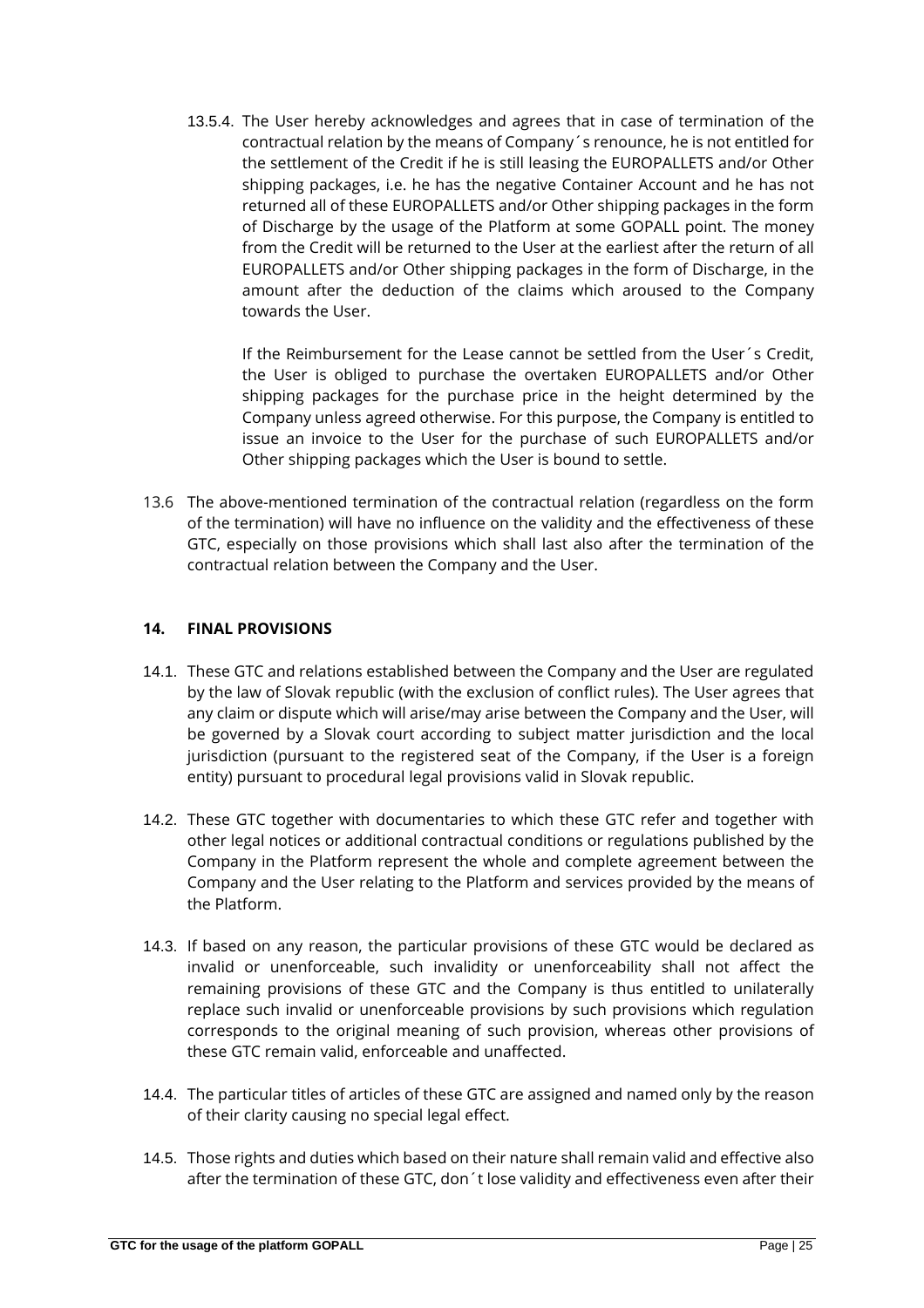13.5.4. The User hereby acknowledges and agrees that in case of termination of the contractual relation by the means of Company´s renounce, he is not entitled for the settlement of the Credit if he is still leasing the EUROPALLETS and/or Other shipping packages, i.e. he has the negative Container Account and he has not returned all of these EUROPALLETS and/or Other shipping packages in the form of Discharge by the usage of the Platform at some GOPALL point. The money from the Credit will be returned to the User at the earliest after the return of all EUROPALLETS and/or Other shipping packages in the form of Discharge, in the amount after the deduction of the claims which aroused to the Company towards the User.

If the Reimbursement for the Lease cannot be settled from the User´s Credit, the User is obliged to purchase the overtaken EUROPALLETS and/or Other shipping packages for the purchase price in the height determined by the Company unless agreed otherwise. For this purpose, the Company is entitled to issue an invoice to the User for the purchase of such EUROPALLETS and/or Other shipping packages which the User is bound to settle.

13.6 The above-mentioned termination of the contractual relation (regardless on the form of the termination) will have no influence on the validity and the effectiveness of these GTC, especially on those provisions which shall last also after the termination of the contractual relation between the Company and the User.

# **14. FINAL PROVISIONS**

- 14.1. These GTC and relations established between the Company and the User are regulated by the law of Slovak republic (with the exclusion of conflict rules). The User agrees that any claim or dispute which will arise/may arise between the Company and the User, will be governed by a Slovak court according to subject matter jurisdiction and the local jurisdiction (pursuant to the registered seat of the Company, if the User is a foreign entity) pursuant to procedural legal provisions valid in Slovak republic.
- 14.2. These GTC together with documentaries to which these GTC refer and together with other legal notices or additional contractual conditions or regulations published by the Company in the Platform represent the whole and complete agreement between the Company and the User relating to the Platform and services provided by the means of the Platform.
- 14.3. If based on any reason, the particular provisions of these GTC would be declared as invalid or unenforceable, such invalidity or unenforceability shall not affect the remaining provisions of these GTC and the Company is thus entitled to unilaterally replace such invalid or unenforceable provisions by such provisions which regulation corresponds to the original meaning of such provision, whereas other provisions of these GTC remain valid, enforceable and unaffected.
- 14.4. The particular titles of articles of these GTC are assigned and named only by the reason of their clarity causing no special legal effect.
- 14.5. Those rights and duties which based on their nature shall remain valid and effective also after the termination of these GTC, don´t lose validity and effectiveness even after their